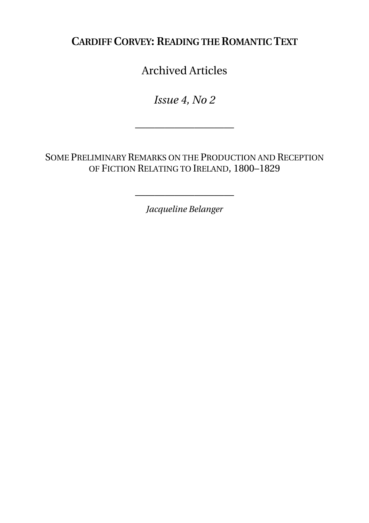**CARDIFF CORVEY: READING THE ROMANTIC TEXT**

Archived Articles

*Issue 4, No 2* 

——————————

SOME PRELIMINARY REMARKS ON THE PRODUCTION AND RECEPTION OF FICTION RELATING TO IRELAND, 1800–1829

*Jacqueline Belanger* 

——————————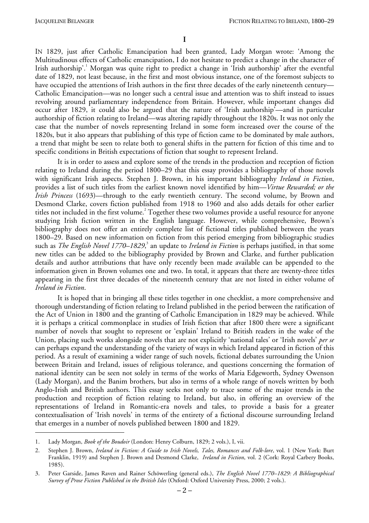IN 1829, just after Catholic Emancipation had been granted, Lady Morgan wrote: 'Among the Multitudinous effects of Catholic emancipation, I do not hesitate to predict a change in the character of Irish authorship'.<sup>1</sup> Morgan was quite right to predict a change in 'Irish authorship' after the eventful date of 1829, not least because, in the first and most obvious instance, one of the foremost subjects to have occupied the attentions of Irish authors in the first three decades of the early nineteenth century— Catholic Emancipation—was no longer such a central issue and attention was to shift instead to issues revolving around parliamentary independence from Britain. However, while important changes did occur after 1829, it could also be argued that the nature of 'Irish authorship'—and in particular authorship of fiction relating to Ireland—was altering rapidly throughout the 1820s. It was not only the case that the number of novels representing Ireland in some form increased over the course of the 1820s, but it also appears that publishing of this type of fiction came to be dominated by male authors, a trend that might be seen to relate both to general shifts in the pattern for fiction of this time and to specific conditions in British expectations of fiction that sought to represent Ireland.

It is in order to assess and explore some of the trends in the production and reception of fiction relating to Ireland during the period 1800–29 that this essay provides a bibliography of those novels with significant Irish aspects. Stephen J. Brown, in his important bibliography *Ireland in Fiction*, provides a list of such titles from the earliest known novel identified by him—*Virtue Rewarded; or the Irish Princess* (1693)—through to the early twentieth century. The second volume, by Brown and Desmond Clarke, covers fiction published from 1918 to 1960 and also adds details for other earlier titles not included in the first volume. $^{2}$  Together these two volumes provide a useful resource for anyone studying Irish fiction written in the English language. However, while comprehensive, Brown's bibliography does not offer an entirely complete list of fictional titles published between the years 1800–29. Based on new information on fiction from this period emerging from bibliographic studies such as *The English Novel 1770–1829*,<sup>3</sup> an update to *Ireland in Fiction* is perhaps justified, in that some new titles can be added to the bibliography provided by Brown and Clarke, and further publication details and author attributions that have only recently been made available can be appended to the information given in Brown volumes one and two. In total, it appears that there are twenty-three titles appearing in the first three decades of the nineteenth century that are not listed in either volume of *Ireland in Fiction*.

It is hoped that in bringing all these titles together in one checklist, a more comprehensive and thorough understanding of fiction relating to Ireland published in the period between the ratification of the Act of Union in 1800 and the granting of Catholic Emancipation in 1829 may be achieved. While it is perhaps a critical commonplace in studies of Irish fiction that after 1800 there were a significant number of novels that sought to represent or 'explain' Ireland to British readers in the wake of the Union, placing such works alongside novels that are not explicitly 'national tales' or 'Irish novels' *per se* can perhaps expand the understanding of the variety of ways in which Ireland appeared in fiction of this period. As a result of examining a wider range of such novels, fictional debates surrounding the Union between Britain and Ireland, issues of religious tolerance, and questions concerning the formation of national identity can be seen not solely in terms of the works of Maria Edgeworth, Sydney Owenson (Lady Morgan), and the Banim brothers, but also in terms of a whole range of novels written by both Anglo-Irish and British authors. This essay seeks not only to trace some of the major trends in the production and reception of fiction relating to Ireland, but also, in offering an overview of the representations of Ireland in Romantic-era novels and tales, to provide a basis for a greater contextualisation of 'Irish novels' in terms of the entirety of a fictional discourse surrounding Ireland that emerges in a number of novels published between 1800 and 1829.

<sup>1.</sup> Lady Morgan, *Book of the Boudoir* (London: Henry Colburn, 1829; 2 vols.), I, vii.

<sup>2.</sup> Stephen J. Brown, *Ireland in Fiction: A Guide to Irish Novels, Tales, Romances and Folk-lore*, vol. 1 (New York: Burt Franklin, 1919) and Stephen J. Brown and Desmond Clarke, *Ireland in Fiction*, vol. 2 (Cork: Royal Carbery Books, 1985).

<sup>3.</sup> Peter Garside, James Raven and Rainer Schöwerling (general eds.), *The English Novel 1770–1829: A Bibliographical Survey of Prose Fiction Published in the British Isles* (Oxford: Oxford University Press, 2000; 2 vols.).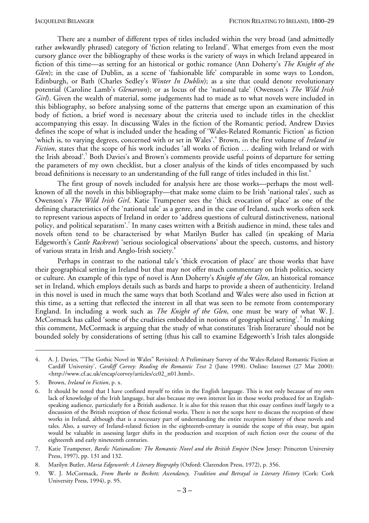There are a number of different types of titles included within the very broad (and admittedly rather awkwardly phrased) category of 'fiction relating to Ireland'. What emerges from even the most cursory glance over the bibliography of these works is the variety of ways in which Ireland appeared in fiction of this time—as setting for an historical or gothic romance (Ann Doherty's *The Knight of the Glen*); in the case of Dublin, as a scene of 'fashionable life' comparable in some ways to London, Edinburgh, or Bath (Charles Sedley's *Winter In Dublin*); as a site that could denote revolutionary potential (Caroline Lamb's *Glenarvon*); or as locus of the 'national tale' (Owenson's *The Wild Irish Girl*). Given the wealth of material, some judgements had to made as to what novels were included in this bibliography, so before analysing some of the patterns that emerge upon an examination of this body of fiction, a brief word is necessary about the criteria used to include titles in the checklist accompanying this essay. In discussing Wales in the fiction of the Romantic period, Andrew Davies defines the scope of what is included under the heading of 'Wales-Related Romantic Fiction' as fiction 'which is, to varying degrees, concerned with or set in Wales'.<sup>4</sup> Brown, in the first volume of *Ireland in Fiction*, states that the scope of his work includes 'all works of fiction ... dealing with Ireland or with the Irish abroad'.<sup>5</sup> Both Davies's and Brown's comments provide useful points of departure for setting the parameters of my own checklist, but a closer analysis of the kinds of titles encompassed by such broad definitions is necessary to an understanding of the full range of titles included in this list.<sup>6</sup>

The first group of novels included for analysis here are those works—perhaps the most wellknown of all the novels in this bibliography—that make some claim to be Irish 'national tales', such as Owenson's *The Wild Irish Girl*. Katie Trumpener sees the 'thick evocation of place' as one of the defining characteristics of the 'national tale' as a genre, and in the case of Ireland, such works often seek to represent various aspects of Ireland in order to 'address questions of cultural distinctiveness, national policy, and political separatism'.<sup>7</sup> In many cases written with a British audience in mind, these tales and novels often tend to be characterised by what Marilyn Butler has called (in speaking of Maria Edgeworth's *Castle Rackrent*) 'serious sociological observations' about the speech, customs, and history of various strata in Irish and Anglo-Irish society.<sup>8</sup>

Perhaps in contrast to the national tale's 'thick evocation of place' are those works that have their geographical setting in Ireland but that may not offer much commentary on Irish politics, society or culture. An example of this type of novel is Ann Doherty's *Knight of the Glen*, an historical romance set in Ireland, which employs details such as bards and harps to provide a sheen of authenticity. Ireland in this novel is used in much the same ways that both Scotland and Wales were also used in fiction at this time, as a setting that reflected the interest in all that was seen to be remote from contemporary England. In including a work such as *The Knight of the Glen*, one must be wary of what W. J. McCormack has called 'some of the crudities embedded in notions of geographical setting'. <sup>9</sup> In making this comment, McCormack is arguing that the study of what constitutes 'Irish literature' should not be bounded solely by considerations of setting (thus his call to examine Edgeworth's Irish tales alongside

<sup>4.</sup> A. J. Davies, '"The Gothic Novel in Wales" Revisited: A Preliminary Survey of the Wales-Related Romantic Fiction at Cardiff University', *Cardiff Corvey: Reading the Romantic Text* 2 (June 1998). Online: Internet (27 Mar 2000): <http://www.cf.ac.uk/encap/corvey/articles/cc02\_n01.html>.

<sup>5.</sup> Brown, *Ireland in Fiction*, p. x.

<sup>6.</sup> It should be noted that I have confined myself to titles in the English language. This is not only because of my own lack of knowledge of the Irish language, but also because my own interest lies in those works produced for an Englishspeaking audience, particularly for a British audience. It is also for this reason that this essay confines itself largely to a discussion of the British reception of these fictional works. There is not the scope here to discuss the reception of these works in Ireland, although that is a necessary part of understanding the entire reception history of these novels and tales. Also, a survey of Ireland-related fiction in the eighteenth-century is outside the scope of this essay, but again would be valuable in assessing larger shifts in the production and reception of such fiction over the course of the eighteenth and early nineteenth centuries.

<sup>7.</sup> Katie Trumpener, *Bardic Nationalism: The Romantic Novel and the British Empire* (New Jersey: Princeton University Press, 1997), pp. 131 and 132.

<sup>8.</sup> Marilyn Butler, *Maria Edgeworth: A Literary Biography* (Oxford: Clarendon Press, 1972), p. 356.

<sup>9.</sup> W. J. McCormack, *From Burke to Beckett; Ascendancy, Tradition and Betrayal in Literary History* (Cork: Cork University Press, 1994), p. 95.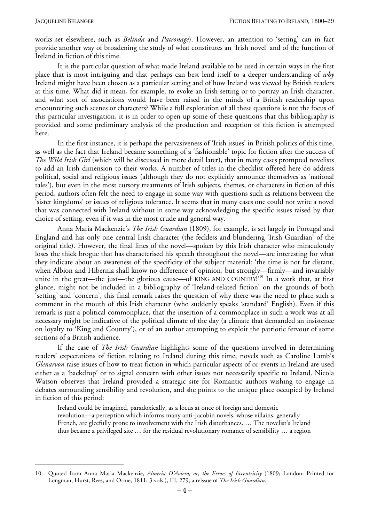$\overline{a}$ 

works set elsewhere, such as *Belinda* and *Patronage*). However, an attention to 'setting' can in fact provide another way of broadening the study of what constitutes an 'Irish novel' and of the function of Ireland in fiction of this time.

It is the particular question of what made Ireland available to be used in certain ways in the first place that is most intriguing and that perhaps can best lend itself to a deeper understanding of *why* Ireland might have been chosen as a particular setting and of how Ireland was viewed by British readers at this time. What did it mean, for example, to evoke an Irish setting or to portray an Irish character, and what sort of associations would have been raised in the minds of a British readership upon encountering such scenes or characters? While a full exploration of all these questions is not the focus of this particular investigation, it is in order to open up some of these questions that this bibliography is provided and some preliminary analysis of the production and reception of this fiction is attempted here.

In the first instance, it is perhaps the pervasiveness of 'Irish issues' in British politics of this time, as well as the fact that Ireland became something of a 'fashionable' topic for fiction after the success of *The Wild Irish Girl* (which will be discussed in more detail later), that in many cases prompted novelists to add an Irish dimension to their works. A number of titles in the checklist offered here do address political, social and religious issues (although they do not explicitly announce themselves as 'national tales'), but even in the most cursory treatments of Irish subjects, themes, or characters in fiction of this period, authors often felt the need to engage in some way with questions such as relations between the 'sister kingdoms' or issues of religious tolerance. It seems that in many cases one could not write a novel that was connected with Ireland without in some way acknowledging the specific issues raised by that choice of setting, even if it was in the most crude and general way.

Anna Maria Mackenzie's *The Irish Guardian* (1809), for example, is set largely in Portugal and England and has only one central Irish character (the feckless and blundering 'Irish Guardian' of the original title). However, the final lines of the novel—spoken by this Irish character who miraculously loses the thick brogue that has characterised his speech throughout the novel—are interesting for what they indicate about an awareness of the specificity of the subject material: 'the time is not far distant, when Albion and Hibernia shall know no difference of opinion, but strongly—firmly—and invariably unite in the great—the just—the glorious cause—of KING AND COUNTRY!<sup>10</sup> In a work that, at first glance, might not be included in a bibliography of 'Ireland-related fiction' on the grounds of both 'setting' and 'concern', this final remark raises the question of why there was the need to place such a comment in the mouth of this Irish character (who suddenly speaks 'standard' English). Even if this remark is just a political commonplace, that the insertion of a commonplace in such a work was at all necessary might be indicative of the political climate of the day (a climate that demanded an insistence on loyalty to 'King and Country'), or of an author attempting to exploit the patriotic fervour of some sections of a British audience.

If the case of *The Irish Guardian* highlights some of the questions involved in determining readers' expectations of fiction relating to Ireland during this time, novels such as Caroline Lamb's *Glenarvon* raise issues of how to treat fiction in which particular aspects of or events in Ireland are used either as a 'backdrop' or to signal concern with other issues not necessarily specific to Ireland. Nicola Watson observes that Ireland provided a strategic site for Romantic authors wishing to engage in debates surrounding sensibility and revolution, and she points to the unique place occupied by Ireland in fiction of this period:

Ireland could be imagined, paradoxically, as a locus at once of foreign and domestic revolution—a perception which informs many anti-Jacobin novels, whose villains, generally French, are gleefully prone to involvement with the Irish disturbances. … The novelist's Ireland thus became a privileged site … for the residual revolutionary romance of sensibility … a region

<sup>10.</sup> Quoted from Anna Maria Mackenzie, *Almeria D'Aviero; or, the Errors of Eccentricity* (1809; London: Printed for Longman, Hurst, Rees, and Orme, 1811; 3 vols.), III, 279, a reissue of *The Irish Guardian*.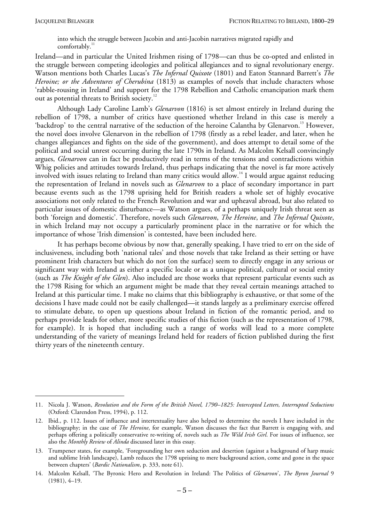$\overline{a}$ 

into which the struggle between Jacobin and anti-Jacobin narratives migrated rapidly and  $comfortably.<sup>11</sup>$ 

Ireland—and in particular the United Irishmen rising of 1798—can thus be co-opted and enlisted in the struggle between competing ideologies and political allegiances and to signal revolutionary energy. Watson mentions both Charles Lucas's *The Infernal Quixote* (1801) and Eaton Stannard Barrett's *The Heroine; or the Adventures of Cherubina* (1813) as examples of novels that include characters whose 'rabble-rousing in Ireland' and support for the 1798 Rebellion and Catholic emancipation mark them out as potential threats to British society.<sup>12</sup>

Although Lady Caroline Lamb's *Glenarvon* (1816) is set almost entirely in Ireland during the rebellion of 1798, a number of critics have questioned whether Ireland in this case is merely a 'backdrop' to the central narrative of the seduction of the heroine Calantha by Glenarvon.<sup>13</sup> However, the novel does involve Glenarvon in the rebellion of 1798 (firstly as a rebel leader, and later, when he changes allegiances and fights on the side of the government), and does attempt to detail some of the political and social unrest occurring during the late 1790s in Ireland. As Malcolm Kelsall convincingly argues, *Glenarvon* can in fact be productively read in terms of the tensions and contradictions within Whig policies and attitudes towards Ireland, thus perhaps indicating that the novel is far more actively involved with issues relating to Ireland than many critics would allow.<sup>14</sup> I would argue against reducing the representation of Ireland in novels such as *Glenarvon* to a place of secondary importance in part because events such as the 1798 uprising held for British readers a whole set of highly evocative associations not only related to the French Revolution and war and upheaval abroad, but also related to particular issues of domestic disturbance—as Watson argues, of a perhaps uniquely Irish threat seen as both 'foreign and domestic'. Therefore, novels such *Glenarvon*, *The Heroine*, and *The Infernal Quixote*, in which Ireland may not occupy a particularly prominent place in the narrative or for which the importance of whose 'Irish dimension' is contested, have been included here.

It has perhaps become obvious by now that, generally speaking, I have tried to err on the side of inclusiveness, including both 'national tales' and those novels that take Ireland as their setting or have prominent Irish characters but which do not (on the surface) seem to directly engage in any serious or significant way with Ireland as either a specific locale or as a unique political, cultural or social entity (such as *The Knight of the Glen*). Also included are those works that represent particular events such as the 1798 Rising for which an argument might be made that they reveal certain meanings attached to Ireland at this particular time. I make no claims that this bibliography is exhaustive, or that some of the decisions I have made could not be easily challenged—it stands largely as a preliminary exercise offered to stimulate debate, to open up questions about Ireland in fiction of the romantic period, and to perhaps provide leads for other, more specific studies of this fiction (such as the representation of 1798, for example). It is hoped that including such a range of works will lead to a more complete understanding of the variety of meanings Ireland held for readers of fiction published during the first thirty years of the nineteenth century.

<sup>11.</sup> Nicola J. Watson, *Revolution and the Form of the British Novel, 1790–1825: Intercepted Letters, Interrupted Seductions* (Oxford: Clarendon Press, 1994), p. 112.

<sup>12.</sup> Ibid., p. 112. Issues of influence and intertextuality have also helped to determine the novels I have included in the bibliography; in the case of *The Heroine*, for example, Watson discusses the fact that Barrett is engaging with, and perhaps offering a politically conservative re-writing of, novels such as *The Wild Irish Girl*. For issues of influence, see also the *Monthly Review* of *Alinda* discussed later in this essay.

<sup>13.</sup> Trumpener states, for example, 'Foregrounding her own seduction and desertion (against a background of harp music and sublime Irish landscape), Lamb reduces the 1798 uprising to mere background action, come and gone in the space between chapters' (*Bardic Nationalism*, p. 333, note 61).

<sup>14.</sup> Malcolm Kelsall, 'The Byronic Hero and Revolution in Ireland: The Politics of *Glenarvon*', *The Byron Journal* 9 (1981), 4–19.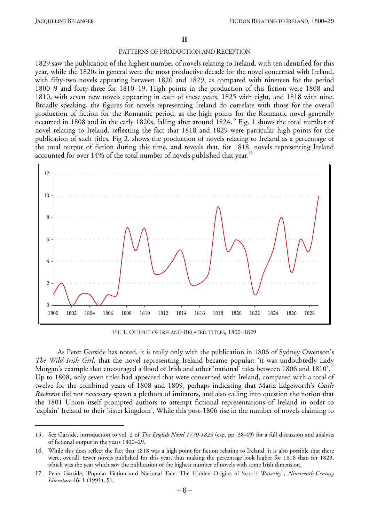$\overline{a}$ 

#### PATTERNS OF PRODUCTION AND RECEPTION

1829 saw the publication of the highest number of novels relating to Ireland, with ten identified for this year, while the 1820s in general were the most productive decade for the novel concerned with Ireland, with fifty-two novels appearing between 1820 and 1829, as compared with nineteen for the period 1800–9 and forty-three for 1810–19. High points in the production of this fiction were 1808 and 1810, with seven new novels appearing in each of these years, 1825 with eight, and 1818 with nine. Broadly speaking, the figures for novels representing Ireland do correlate with those for the overall production of fiction for the Romantic period, as the high points for the Romantic novel generally occurred in 1808 and in the early 1820s, falling after around 1824.15 Fig. 1 shows the total number of novel relating to Ireland, reflecting the fact that 1818 and 1829 were particular high points for the publication of such titles. Fig 2. shows the production of novels relating to Ireland as a percentage of the total output of fiction during this time, and reveals that, for 1818, novels representing Ireland accounted for over  $14\%$  of the total number of novels published that year.<sup>16</sup>



FIG 1. OUTPUT OF IRELAND-RELATED TITLES, 1800–1829

As Peter Garside has noted, it is really only with the publication in 1806 of Sydney Owenson's *The Wild Irish Girl*, that the novel representing Ireland became popular: 'it was undoubtedly Lady Morgan's example that encouraged a flood of Irish and other 'national' tales between 1806 and 1810'.<sup>17</sup> Up to 1808, only seven titles had appeared that were concerned with Ireland, compared with a total of twelve for the combined years of 1808 and 1809, perhaps indicating that Maria Edgeworth's *Castle Rackrent* did not necessary spawn a plethora of imitators, and also calling into question the notion that the 1801 Union itself prompted authors to attempt fictional representations of Ireland in order to 'explain' Ireland to their 'sister kingdom'. While this post-1806 rise in the number of novels claiming to

<sup>15.</sup> See Garside, introduction to vol. 2 of *The English Novel 1770-1829* (esp. pp. 38-49) for a full discussion and analysis of fictional output in the years 1800–29.

<sup>16.</sup> While this does reflect the fact that 1818 was a high point for fiction relating to Ireland, it is also possible that there were, overall, fewer novels published for this year, thus making the percentage look higher for 1818 than for 1829, which was the year which saw the publication of the highest number of novels with some Irish dimension.

<sup>17.</sup> Peter Garside, 'Popular Fiction and National Tale: The Hidden Origins of Scott's *Waverley*", *Nineteenth-Century Literature* 46: 1 (1991), 51.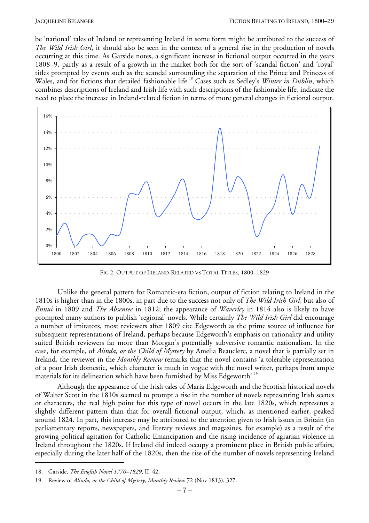be 'national' tales of Ireland or representing Ireland in some form might be attributed to the success of *The Wild Irish Girl*, it should also be seen in the context of a general rise in the production of novels occurring at this time. As Garside notes, a significant increase in fictional output occurred in the years 1808–9, partly as a result of a growth in the market both for the sort of 'scandal fiction' and 'royal' titles prompted by events such as the scandal surrounding the separation of the Prince and Princess of Wales, and for fictions that detailed fashionable life.<sup>18</sup> Cases such as Sedley's *Winter in Dublin*, which combines descriptions of Ireland and Irish life with such descriptions of the fashionable life, indicate the need to place the increase in Ireland-related fiction in terms of more general changes in fictional output.



FIG 2. OUTPUT OF IRELAND-RELATED VS TOTAL TITLES, 1800–1829

Unlike the general pattern for Romantic-era fiction, output of fiction relating to Ireland in the 1810s is higher than in the 1800s, in part due to the success not only of *The Wild Irish Girl*, but also of *Ennui* in 1809 and *The Absentee* in 1812; the appearance of *Waverley* in 1814 also is likely to have prompted many authors to publish 'regional' novels. While certainly *The Wild Irish Girl* did encourage a number of imitators, most reviewers after 1809 cite Edgeworth as the prime source of influence for subsequent representations of Ireland, perhaps because Edgeworth's emphasis on rationality and utility suited British reviewers far more than Morgan's potentially subversive romantic nationalism. In the case, for example, of *Alinda, or the Child of Mystery* by Amelia Beauclerc, a novel that is partially set in Ireland, the reviewer in the *Monthly Review* remarks that the novel contains 'a tolerable representation of a poor Irish domestic, which character is much in vogue with the novel writer, perhaps from ample materials for its delineation which have been furnished by Miss Edgeworth'.<sup>19</sup>

Although the appearance of the Irish tales of Maria Edgeworth and the Scottish historical novels of Walter Scott in the 1810s seemed to prompt a rise in the number of novels representing Irish scenes or characters, the real high point for this type of novel occurs in the late 1820s, which represents a slightly different pattern than that for overall fictional output, which, as mentioned earlier, peaked around 1824. In part, this increase may be attributed to the attention given to Irish issues in Britain (in parliamentary reports, newspapers, and literary reviews and magazines, for example) as a result of the growing political agitation for Catholic Emancipation and the rising incidence of agrarian violence in Ireland throughout the 1820s. If Ireland did indeed occupy a prominent place in British public affairs, especially during the later half of the 1820s, then the rise of the number of novels representing Ireland

<sup>18.</sup> Garside, *The English Novel 1770–1829*, II, 42.

<sup>19.</sup> Review of *Alinda, or the Child of Mystery*, *Monthly Review* 72 (Nov 1813), 327.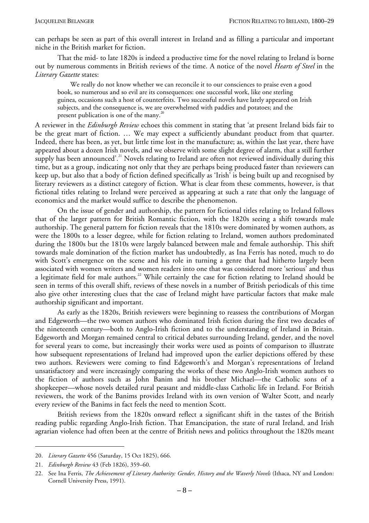can perhaps be seen as part of this overall interest in Ireland and as filling a particular and important niche in the British market for fiction.

That the mid- to late 1820s is indeed a productive time for the novel relating to Ireland is borne out by numerous comments in British reviews of the time. A notice of the novel *Hearts of Steel* in the *Literary Gazette* states:

We really do not know whether we can reconcile it to our consciences to praise even a good book, so numerous and so evil are its consequences: one successful work, like one sterling guinea, occasions such a host of counterfeits. Two successful novels have lately appeared on Irish subjects, and the consequence is, we are overwhelmed with paddies and potatoes; and the present publication is one of the many.<sup>20</sup>

A reviewer in the *Edinburgh Review* echoes this comment in stating that 'at present Ireland bids fair to be the great mart of fiction. … We may expect a sufficiently abundant product from that quarter. Indeed, there has been, as yet, but little time lost in the manufacture; as, within the last year, there have appeared about a dozen Irish novels, and we observe with some slight degree of alarm, that a still further supply has been announced'.<sup>21</sup> Novels relating to Ireland are often not reviewed individually during this time, but as a group, indicating not only that they are perhaps being produced faster than reviewers can keep up, but also that a body of fiction defined specifically as 'Irish' is being built up and recognised by literary reviewers as a distinct category of fiction. What is clear from these comments, however, is that fictional titles relating to Ireland were perceived as appearing at such a rate that only the language of economics and the market would suffice to describe the phenomenon.

On the issue of gender and authorship, the pattern for fictional titles relating to Ireland follows that of the larger pattern for British Romantic fiction, with the 1820s seeing a shift towards male authorship. The general pattern for fiction reveals that the 1810s were dominated by women authors, as were the 1800s to a lesser degree, while for fiction relating to Ireland, women authors predominated during the 1800s but the 1810s were largely balanced between male and female authorship. This shift towards male domination of the fiction market has undoubtedly, as Ina Ferris has noted, much to do with Scott's emergence on the scene and his role in turning a genre that had hitherto largely been associated with women writers and women readers into one that was considered more 'serious' and thus a legitimate field for male authors.<sup>22</sup> While certainly the case for fiction relating to Ireland should be seen in terms of this overall shift, reviews of these novels in a number of British periodicals of this time also give other interesting clues that the case of Ireland might have particular factors that make male authorship significant and important.

As early as the 1820s, British reviewers were beginning to reassess the contributions of Morgan and Edgeworth—the two women authors who dominated Irish fiction during the first two decades of the nineteenth century—both to Anglo-Irish fiction and to the understanding of Ireland in Britain. Edgeworth and Morgan remained central to critical debates surrounding Ireland, gender, and the novel for several years to come, but increasingly their works were used as points of comparison to illustrate how subsequent representations of Ireland had improved upon the earlier depictions offered by these two authors. Reviewers were coming to find Edgeworth's and Morgan's representations of Ireland unsatisfactory and were increasingly comparing the works of these two Anglo-Irish women authors to the fiction of authors such as John Banim and his brother Michael—the Catholic sons of a shopkeeper—whose novels detailed rural peasant and middle-class Catholic life in Ireland. For British reviewers, the work of the Banims provides Ireland with its own version of Walter Scott, and nearly every review of the Banims in fact feels the need to mention Scott.

British reviews from the 1820s onward reflect a significant shift in the tastes of the British reading public regarding Anglo-Irish fiction. That Emancipation, the state of rural Ireland, and Irish agrarian violence had often been at the centre of British news and politics throughout the 1820s meant

<sup>20.</sup> *Literary Gazette* 456 (Saturday, 15 Oct 1825), 666.

<sup>21.</sup> *Edinburgh Review* 43 (Feb 1826), 359–60.

<sup>22.</sup> See Ina Ferris, *The Achievement of Literary Authority: Gender, History and the Waverly Novels* (Ithaca, NY and London: Cornell University Press, 1991).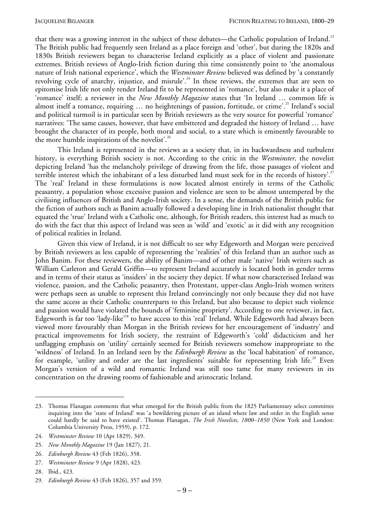that there was a growing interest in the subject of these debates—the Catholic population of Ireland.<sup>23</sup> The British public had frequently seen Ireland as a place foreign and 'other', but during the 1820s and 1830s British reviewers began to characterise Ireland explicitly as a place of violent and passionate extremes. British reviews of Anglo-Irish fiction during this time consistently point to 'the anomalous nature of Irish national experience', which the *Westminster Review* believed was defined by 'a constantly revolving cycle of anarchy, injustice, and misrule<sup>'24</sup> In these reviews, the extremes that are seen to epitomise Irish life not only render Ireland fit to be represented in 'romance', but also make it a place of 'romance' itself; a reviewer in the *New Monthly Magazine* states that 'In Ireland … common life is almost itself a romance, requiring ... no heightenings of passion, fortitude, or crime'.<sup>25</sup> Ireland's social and political turmoil is in particular seen by British reviewers as the very source for powerful 'romance' narratives: 'The same causes, however, that have embittered and degraded the history of Ireland … have brought the character of its people, both moral and social, to a state which is eminently favourable to the more humble inspirations of the novelist'.<sup>26</sup>

This Ireland is represented in the reviews as a society that, in its backwardness and turbulent history, is everything British society is not. According to the critic in the *Westminster,* the novelist depicting Ireland 'has the melancholy privilege of drawing from the life, those passages of violent and terrible interest which the inhabitant of a less disturbed land must seek for in the records of history'.<sup>27</sup> The 'real' Ireland in these formulations is now located almost entirely in terms of the Catholic peasantry, a population whose excessive passion and violence are seen to be almost untempered by the civilising influences of British and Anglo-Irish society. In a sense, the demands of the British public for the fiction of authors such as Banim actually followed a developing line in Irish nationalist thought that equated the 'true' Ireland with a Catholic one, although, for British readers, this interest had as much to do with the fact that this aspect of Ireland was seen as 'wild' and 'exotic' as it did with any recognition of political realities in Ireland.

Given this view of Ireland, it is not difficult to see why Edgeworth and Morgan were perceived by British reviewers as less capable of representing the 'realities' of this Ireland than an author such as John Banim. For these reviewers, the ability of Banim—and of other male 'native' Irish writers such as William Carleton and Gerald Griffin—to represent Ireland accurately is located both in gender terms and in terms of their status as 'insiders' in the society they depict. If what now characterised Ireland was violence, passion, and the Catholic peasantry, then Protestant, upper-class Anglo-Irish women writers were perhaps seen as unable to represent this Ireland convincingly not only because they did not have the same access as their Catholic counterparts to this Ireland, but also because to depict such violence and passion would have violated the bounds of 'feminine propriety'. According to one reviewer, in fact, Edgeworth is far too 'lady-like'<sup>28</sup> to have access to this 'real' Ireland. While Edgeworth had always been viewed more favourably than Morgan in the British reviews for her encouragement of 'industry' and practical improvements for Irish society, the restraint of Edgeworth's 'cold' didacticism and her unflagging emphasis on 'utility' certainly seemed for British reviewers somehow inappropriate to the 'wildness' of Ireland. In an Ireland seen by the *Edinburgh Review* as the 'local habitation' of romance, for example, 'utility and order are the last ingredients' suitable for representing Irish life.<sup>29</sup> Even Morgan's version of a wild and romantic Ireland was still too tame for many reviewers in its concentration on the drawing rooms of fashionable and aristocratic Ireland.

24. *Westminster Review* 10 (Apr 1829), 349.

27. *Westminster Review* 9 (Apr 1828), 423.

<sup>23.</sup> Thomas Flanagan comments that what emerged for the British public from the 1825 Parliamentary select committee inquiring into the 'state of Ireland' was 'a bewildering picture of an island where law and order in the English sense could hardly be said to have existed'. Thomas Flanagan, *The Irish Novelists, 1800–1850* (New York and London: Columbia University Press, 1959), p. 172.

<sup>25.</sup> *New Monthly Magazine* 19 (Jan 1827), 21.

<sup>26.</sup> *Edinburgh Review* 43 (Feb 1826), 358.

<sup>28.</sup>Ibid., 423.

<sup>29.</sup> *Edinburgh Review* 43 (Feb 1826), 357 and 359.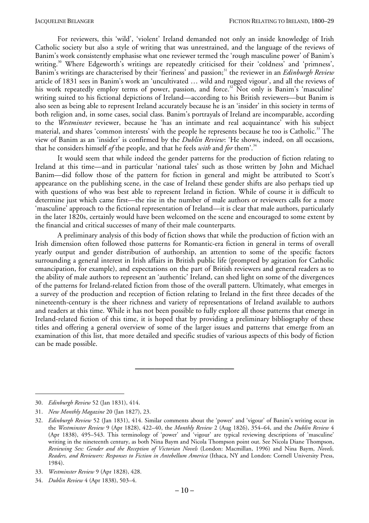For reviewers, this 'wild', 'violent' Ireland demanded not only an inside knowledge of Irish Catholic society but also a style of writing that was unrestrained, and the language of the reviews of Banim's work consistently emphasise what one reviewer termed the 'rough masculine power' of Banim's writing.<sup>30</sup> Where Edgeworth's writings are repeatedly criticised for their 'coldness' and 'primness', Banim's writings are characterised by their 'fieriness' and passion;<sup>31</sup> the reviewer in an *Edinburgh Review* article of 1831 sees in Banim's work an 'uncultivated … wild and rugged vigour', and all the reviews of his work repeatedly employ terms of power, passion, and force.<sup>32</sup> Not only is Banim's 'masculine' writing suited to his fictional depictions of Ireland—according to his British reviewers—but Banim is also seen as being able to represent Ireland accurately because he is an 'insider' in this society in terms of both religion and, in some cases, social class. Banim's portrayals of Ireland are incomparable, according to the *Westminster* reviewer, because he 'has an intimate and real acquaintance' with his subject material, and shares 'common interests' with the people he represents because he too is Catholic.<sup>33</sup> The view of Banim as an 'insider' is confirmed by the *Dublin Review*: 'He shows, indeed, on all occasions, that he considers himself *of* the people, and that he feels *with* and *for* them'.<sup>34</sup>

It would seem that while indeed the gender patterns for the production of fiction relating to Ireland at this time—and in particular 'national tales' such as those written by John and Michael Banim—did follow those of the pattern for fiction in general and might be attributed to Scott's appearance on the publishing scene, in the case of Ireland these gender shifts are also perhaps tied up with questions of who was best able to represent Ireland in fiction. While of course it is difficult to determine just which came first—the rise in the number of male authors or reviewers calls for a more 'masculine' approach to the fictional representation of Ireland—it is clear that male authors, particularly in the later 1820s, certainly would have been welcomed on the scene and encouraged to some extent by the financial and critical successes of many of their male counterparts.

A preliminary analysis of this body of fiction shows that while the production of fiction with an Irish dimension often followed those patterns for Romantic-era fiction in general in terms of overall yearly output and gender distribution of authorship, an attention to some of the specific factors surrounding a general interest in Irish affairs in British public life (prompted by agitation for Catholic emancipation, for example), and expectations on the part of British reviewers and general readers as to the ability of male authors to represent an 'authentic' Ireland, can shed light on some of the divergences of the patterns for Ireland-related fiction from those of the overall pattern. Ultimately, what emerges in a survey of the production and reception of fiction relating to Ireland in the first three decades of the nineteenth-century is the sheer richness and variety of representations of Ireland available to authors and readers at this time. While it has not been possible to fully explore all those patterns that emerge in Ireland-related fiction of this time, it is hoped that by providing a preliminary bibliography of these titles and offering a general overview of some of the larger issues and patterns that emerge from an examination of this list, that more detailed and specific studies of various aspects of this body of fiction can be made possible.

 $\overline{a}$ 

**——————————**

<sup>30.</sup> *Edinburgh Review* 52 (Jan 1831), 414.

<sup>31.</sup> *New Monthly Magazine* 20 (Jan 1827), 23.

<sup>32.</sup> *Edinburgh Review* 52 (Jan 1831), 414. Similar comments about the 'power' and 'vigour' of Banim's writing occur in the *Westminster Review* 9 (Apr 1828), 422–40, the *Monthly Review* 2 (Aug 1826), 354–64, and the *Dublin Review* 4 (Apr 1838), 495–543. This terminology of 'power' and 'vigour' are typical reviewing descriptions of 'masculine' writing in the nineteenth century, as both Nina Baym and Nicola Thompson point out. See Nicola Diane Thompson, *Reviewing Sex: Gender and the Reception of Victorian Novels* (London: Macmillan, 1996) and Nina Baym, *Novels, Readers, and Reviewers: Responses to Fiction in Antebellum America* (Ithaca, NY and London: Cornell University Press, 1984).

<sup>33.</sup> *Westminster Review* 9 (Apr 1828), 428.

<sup>34.</sup> *Dublin Review* 4 (Apr 1838), 503–4.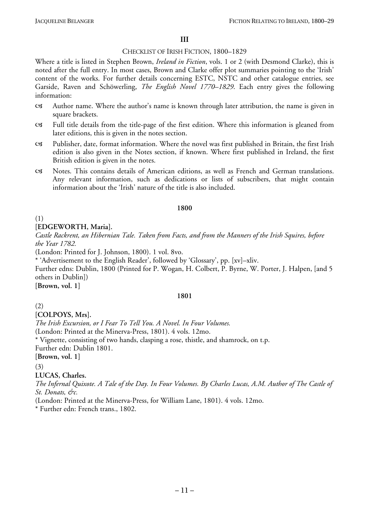**III**

#### CHECKLIST OF IRISH FICTION, 1800–1829

Where a title is listed in Stephen Brown, *Ireland in Fiction*, vols. 1 or 2 (with Desmond Clarke), this is noted after the full entry. In most cases, Brown and Clarke offer plot summaries pointing to the 'Irish' content of the works. For further details concerning ESTC, NSTC and other catalogue entries, see Garside, Raven and Schöwerling, *The English Novel 1770–1829*. Each entry gives the following information:

- W Author name. Where the author's name is known through later attribution, the name is given in square brackets.
- W Full title details from the title-page of the first edition. Where this information is gleaned from later editions, this is given in the notes section.
- W Publisher, date, format information. Where the novel was first published in Britain, the first Irish edition is also given in the Notes section, if known. Where first published in Ireland, the first British edition is given in the notes.
- W Notes. This contains details of American editions, as well as French and German translations. Any relevant information, such as dedications or lists of subscribers, that might contain information about the 'Irish' nature of the title is also included.

#### **1800**

(1)

**[EDGEWORTH, Maria].** 

*Castle Rackrent, an Hibernian Tale. Taken from Facts, and from the Manners of the Irish Squires, before the Year 1782.* 

(London: Printed for J. Johnson, 1800). 1 vol. 8vo.

\* 'Advertisement to the English Reader', followed by 'Glossary', pp. [xv]–xliv.

Further edns: Dublin, 1800 (Printed for P. Wogan, H. Colbert, P. Byrne, W. Porter, J. Halpen, [and 5 others in Dublin])

**[Brown, vol. 1]** 

#### **1801**

(2)

**[COLPOYS, Mrs].** 

*The Irish Excursion, or I Fear To Tell You. A Novel. In Four Volumes.* 

(London: Printed at the Minerva-Press, 1801). 4 vols. 12mo.

\* Vignette, consisting of two hands, clasping a rose, thistle, and shamrock, on t.p.

Further edn: Dublin 1801.

**[Brown, vol. 1]** 

(3)

**LUCAS, Charles.** 

*The Infernal Quixote. A Tale of the Day. In Four Volumes. By Charles Lucas, A.M. Author of The Castle of St. Donats, &c.* 

(London: Printed at the Minerva-Press, for William Lane, 1801). 4 vols. 12mo.

\* Further edn: French trans., 1802.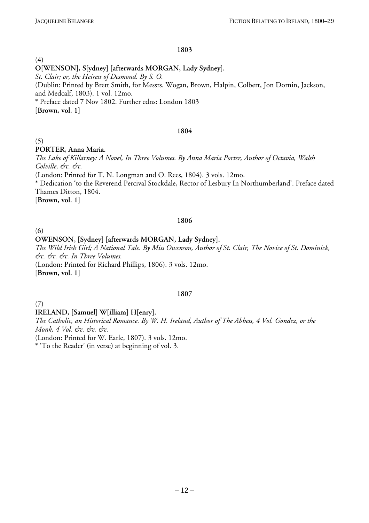# **O[WENSON], S[ydney] [afterwards MORGAN, Lady Sydney].**

*St. Clair; or, the Heiress of Desmond. By S. O.* 

(Dublin: Printed by Brett Smith, for Messrs. Wogan, Brown, Halpin, Colbert, Jon Dornin, Jackson, and Medcalf, 1803). 1 vol. 12mo.

\* Preface dated 7 Nov 1802. Further edns: London 1803

**[Brown, vol. 1]** 

#### **1804**

# (5)

(4)

# **PORTER, Anna Maria.**

*The Lake of Killarney: A Novel, In Three Volumes. By Anna Maria Porter, Author of Octavia, Walsh Colville, &c. &c.*  (London: Printed for T. N. Longman and O. Rees, 1804). 3 vols. 12mo.

\* Dedication 'to the Reverend Percival Stockdale, Rector of Lesbury In Northumberland'. Preface dated Thames Ditton, 1804.

**[Brown, vol. 1]** 

# **1806**

(6)

**OWENSON, [Sydney] [afterwards MORGAN, Lady Sydney].**  *The Wild Irish Girl; A National Tale. By Miss Owenson, Author of St. Clair, The Novice of St. Dominick, &c. &c. &c. In Three Volumes.*  (London: Printed for Richard Phillips, 1806). 3 vols. 12mo. **[Brown, vol. 1]** 

# **1807**

(7)

# **IRELAND, [Samuel] W[illiam] H[enry].**

*The Catholic, an Historical Romance. By W. H. Ireland, Author of The Abbess, 4 Vol. Gondez, or the Monk, 4 Vol. &c. &c. &c.* 

(London: Printed for W. Earle, 1807). 3 vols. 12mo.

\* 'To the Reader' (in verse) at beginning of vol. 3.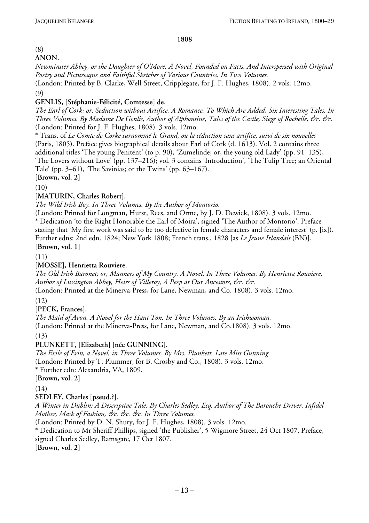# (8)

#### **ANON.**

*Newminster Abbey, or the Daughter of O'More. A Novel, Founded on Facts. And Interspersed with Original Poetry and Picturesque and Faithful Sketches of Various Countries. In Two Volumes.* 

(London: Printed by B. Clarke, Well-Street, Cripplegate, for J. F. Hughes, 1808). 2 vols. 12mo. (9)

# **GENLIS, [Stéphanie-Félicité, Comtesse] de.**

*The Earl of Cork; or, Seduction without Artifice. A Romance. To Which Are Added, Six Interesting Tales. In Three Volumes. By Madame De Genlis, Author of Alphonsine, Tales of the Castle, Siege of Rochelle, &c. &c.*  (London: Printed for J. F. Hughes, 1808). 3 vols. 12mo.

\* Trans. of *Le Comte de Corke surnommé le Grand, ou la séduction sans artifice, suivi de six nouvelles* (Paris, 1805). Preface gives biographical details about Earl of Cork (d. 1613). Vol. 2 contains three additional titles 'The young Penitent' (to p. 90), 'Zumelinde; or, the young old Lady' (pp. 91–135), 'The Lovers without Love' (pp. 137–216); vol. 3 contains 'Introduction', 'The Tulip Tree; an Oriental Tale' (pp. 3–61), 'The Savinias; or the Twins' (pp. 63–167).

**[Brown, vol. 2]** 

(10)

# **[MATURIN, Charles Robert].**

*The Wild Irish Boy. In Three Volumes. By the Author of Montorio.* 

(London: Printed for Longman, Hurst, Rees, and Orme, by J. D. Dewick, 1808). 3 vols. 12mo. \* Dedication 'to the Right Honorable the Earl of Moira', signed 'The Author of Montorio'. Preface stating that 'My first work was said to be too defective in female characters and female interest' (p. [ix]). Further edns: 2nd edn. 1824; New York 1808; French trans., 1828 [as *Le Jeune Irlandais* (BN)].

#### **[Brown, vol. 1]**

(11)

# **[MOSSE], Henrietta Rouviere.**

*The Old Irish Baronet; or, Manners of My Country. A Novel. In Three Volumes. By Henrietta Rouviere, Author of Lussington Abbey, Heirs of Villeroy, A Peep at Our Ancestors, &c. &c.* 

(London: Printed at the Minerva-Press, for Lane, Newman, and Co. 1808). 3 vols. 12mo.

(12)

# **[PECK, Frances].**

*The Maid of Avon. A Novel for the Haut Ton. In Three Volumes. By an Irishwoman.* 

(London: Printed at the Minerva-Press, for Lane, Newman, and Co.1808). 3 vols. 12mo. (13)

# **PLUNKETT, [Elizabeth] [née GUNNING].**

*The Exile of Erin, a Novel, in Three Volumes. By Mrs. Plunkett, Late Miss Gunning.* 

(London: Printed by T. Plummer, for B. Crosby and Co., 1808). 3 vols. 12mo.

\* Further edn: Alexandria, VA, 1809.

# **[Brown, vol. 2]**

(14)

# **SEDLEY, Charles [pseud.?].**

*A Winter in Dublin: A Descriptive Tale. By Charles Sedley, Esq. Author of The Barouche Driver, Infidel Mother, Mask of Fashion, &c. &c. &c. In Three Volumes.* 

(London: Printed by D. N. Shury, for J. F. Hughes, 1808). 3 vols. 12mo.

\* Dedication to Mr Sheriff Phillips, signed 'the Publisher', 5 Wigmore Street, 24 Oct 1807. Preface, signed Charles Sedley, Ramsgate, 17 Oct 1807.

**[Brown, vol. 2]**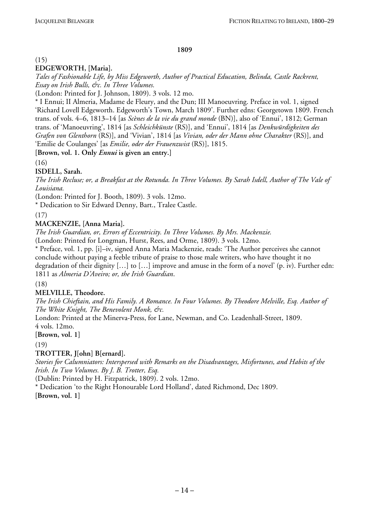#### (15)

# **EDGEWORTH, [Maria].**

*Tales of Fashionable Life, by Miss Edgeworth, Author of Practical Education, Belinda, Castle Rackrent, Essay on Irish Bulls, &c. In Three Volumes.* 

(London: Printed for J. Johnson, 1809). 3 vols. 12 mo.

\* I Ennui; II Almeria, Madame de Fleury, and the Dun; III Manoeuvring. Preface in vol. 1, signed 'Richard Lovell Edgeworth. Edgeworth's Town, March 1809'. Further edns: Georgetown 1809. French trans. of vols. 4–6, 1813–14 [as *Scènes de la vie du grand monde* (BN)], also of 'Ennui', 1812; German trans. of 'Manoeuvring', 1814 [as *Schleichkünste* (RS)], and 'Ennui', 1814 [as *Denkwürdigkeiten des Grafen von Glenthorn* (RS)], and 'Vivian', 1814 [as *Vivian, oder der Mann ohne Charakter* (RS)], and 'Emilie de Coulanges' [as *Emilie, oder der Frauenzwist* (RS)], 1815.

**[Brown, vol. 1. Only** *Ennui* **is given an entry.]** 

(16)

**ISDELL, Sarah.** 

*The Irish Recluse; or, a Breakfast at the Rotunda. In Three Volumes. By Sarah Isdell, Author of The Vale of Louisiana.* 

(London: Printed for J. Booth, 1809). 3 vols. 12mo.

\* Dedication to Sir Edward Denny, Bart., Tralee Castle.

(17)

# **MACKENZIE, [Anna Maria].**

*The Irish Guardian, or, Errors of Eccentricity. In Three Volumes. By Mrs. Mackenzie.* 

(London: Printed for Longman, Hurst, Rees, and Orme, 1809). 3 vols. 12mo.

\* Preface, vol. 1, pp. [i]–iv, signed Anna Maria Mackenzie, reads: 'The Author perceives she cannot conclude without paying a feeble tribute of praise to those male writers, who have thought it no degradation of their dignity […] to […] improve and amuse in the form of a novel' (p. iv). Further edn: 1811 as *Almeria D'Aveiro; or, the Irish Guardian*.

(18)

# **MELVILLE, Theodore.**

*The Irish Chieftain, and His Family. A Romance. In Four Volumes. By Theodore Melville, Esq. Author of The White Knight, The Benevolent Monk, &c.* 

London: Printed at the Minerva-Press, for Lane, Newman, and Co. Leadenhall-Street, 1809.

4 vols. 12mo. **[Brown, vol. 1]** 

(19)

# **TROTTER, J[ohn] B[ernard].**

*Stories for Calumniators: Interspersed with Remarks on the Disadvantages, Misfortunes, and Habits of the Irish. In Two Volumes. By J. B. Trotter, Esq.* 

(Dublin: Printed by H. Fitzpatrick, 1809). 2 vols. 12mo.

\* Dedication 'to the Right Honourable Lord Holland', dated Richmond, Dec 1809.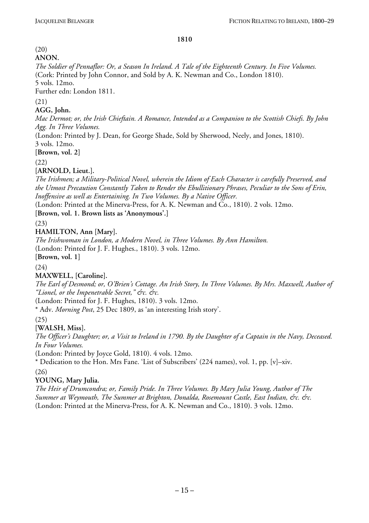# (20)

#### **ANON.**

*The Soldier of Pennaflor: Or, a Season In Ireland. A Tale of the Eighteenth Century. In Five Volumes.*  (Cork: Printed by John Connor, and Sold by A. K. Newman and Co., London 1810). 5 vols. 12mo.

Further edn: London 1811.

# (21)

# **AGG, John.**

*Mac Dermot; or, the Irish Chieftain. A Romance, Intended as a Companion to the Scottish Chiefs. By John Agg. In Three Volumes.* 

(London: Printed by J. Dean, for George Shade, Sold by Sherwood, Neely, and Jones, 1810). 3 vols. 12mo.

**[Brown, vol. 2]** 

(22)

# **[ARNOLD, Lieut.].**

*The Irishmen; a Military-Political Novel, wherein the Idiom of Each Character is carefully Preserved, and the Utmost Precaution Constantly Taken to Render the Ebullitionary Phrases, Peculiar to the Sons of Erin, Inoffensive as well as Entertaining. In Two Volumes. By a Native Officer.* 

(London: Printed at the Minerva-Press, for A. K. Newman and Co., 1810). 2 vols. 12mo.

# **[Brown, vol. 1. Brown lists as 'Anonymous'.]**

(23)

# **HAMILTON, Ann [Mary].**

*The Irishwoman in London, a Modern Novel, in Three Volumes. By Ann Hamilton.*  (London: Printed for J. F. Hughes., 1810). 3 vols. 12mo.

**[Brown, vol. 1]** 

(24)

# **MAXWELL, [Caroline].**

*The Earl of Desmond; or, O'Brien's Cottage. An Irish Story, In Three Volumes. By Mrs. Maxwell, Author of "Lionel, or the Impenetrable Secret," &c. &c.* 

(London: Printed for J. F. Hughes, 1810). 3 vols. 12mo.

\* Adv. *Morning Post*, 25 Dec 1809, as 'an interesting Irish story'.

(25)

# **[WALSH, Miss].**

*The Officer's Daughter; or, a Visit to Ireland in 1790. By the Daughter of a Captain in the Navy, Deceased. In Four Volumes.* 

(London: Printed by Joyce Gold, 1810). 4 vols. 12mo.

\* Dedication to the Hon. Mrs Fane. 'List of Subscribers' (224 names), vol. 1, pp. [v]–xiv.

(26)

# **YOUNG, Mary Julia.**

*The Heir of Drumcondra; or, Family Pride. In Three Volumes. By Mary Julia Young, Author of The Summer at Weymouth, The Summer at Brighton, Donalda, Rosemount Castle, East Indian, &c. &c.*  (London: Printed at the Minerva-Press, for A. K. Newman and Co., 1810). 3 vols. 12mo.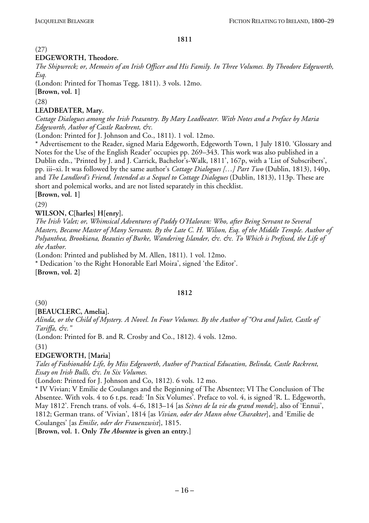# (27)

# **EDGEWORTH, Theodore.**

*The Shipwreck; or, Memoirs of an Irish Officer and His Family. In Three Volumes. By Theodore Edgeworth, Esq.* 

(London: Printed for Thomas Tegg, 1811). 3 vols. 12mo.

**[Brown, vol. 1]**

(28)

# **LEADBEATER, Mary.**

*Cottage Dialogues among the Irish Peasantry. By Mary Leadbeater. With Notes and a Preface by Maria Edgeworth, Author of Castle Rackrent, &c.* 

(London: Printed for J. Johnson and Co., 1811). 1 vol. 12mo.

\* Advertisement to the Reader, signed Maria Edgeworth, Edgeworth Town, 1 July 1810. 'Glossary and Notes for the Use of the English Reader' occupies pp. 269–343. This work was also published in a Dublin edn., 'Printed by J. and J. Carrick, Bachelor's-Walk, 1811', 167p, with a 'List of Subscribers', pp. iii–xi. It was followed by the same author's *Cottage Dialogues […] Part Two* (Dublin, 1813), 140p, and *The Landlord's Friend, Intended as a Sequel to Cottage Dialogues* (Dublin, 1813), 113p. These are short and polemical works, and are not listed separately in this checklist.

**[Brown, vol. 1]**

(29)

# **WILSON, C[harles] H[enry].**

*The Irish Valet; or, Whimsical Adventures of Paddy O'Haloran: Who, after Being Servant to Several Masters, Became Master of Many Servants. By the Late C. H. Wilson, Esq. of the Middle Temple. Author of Polyanthea, Brookiana, Beauties of Burke, Wandering Islander, &c. &c. To Which is Prefixed, the Life of the Author.* 

(London: Printed and published by M. Allen, 1811). 1 vol. 12mo.

\* Dedication 'to the Right Honorable Earl Moira', signed 'the Editor'.

**[Brown, vol. 2]**

# **1812**

(30)

**[BEAUCLERC, Amelia].** 

*Alinda, or the Child of Mystery. A Novel. In Four Volumes. By the Author of "Ora and Juliet, Castle of Tariffa, &c."* 

(London: Printed for B. and R. Crosby and Co., 1812). 4 vols. 12mo.

(31)

# **EDGEWORTH, [Maria]**

*Tales of Fashionable Life, by Miss Edgeworth, Author of Practical Education, Belinda, Castle Rackrent, Essay on Irish Bulls, &c. In Six Volumes.* 

(London: Printed for J. Johnson and Co, 1812). 6 vols. 12 mo.

\* IV Vivian; V Emilie de Coulanges and the Beginning of The Absentee; VI The Conclusion of The Absentee. With vols. 4 to 6 t.ps. read: 'In Six Volumes'. Preface to vol. 4, is signed 'R. L. Edgeworth, May 1812'. French trans. of vols. 4–6, 1813–14 [as *Scènes de la vie du grand monde*], also of 'Ennui', 1812; German trans. of 'Vivian', 1814 [as *Vivian, oder der Mann ohne Charakter*], and 'Emilie de Coulanges' [as *Emilie, oder der Frauenzwist*], 1815.

**[Brown, vol. 1. Only** *The Absentee* **is given an entry.]**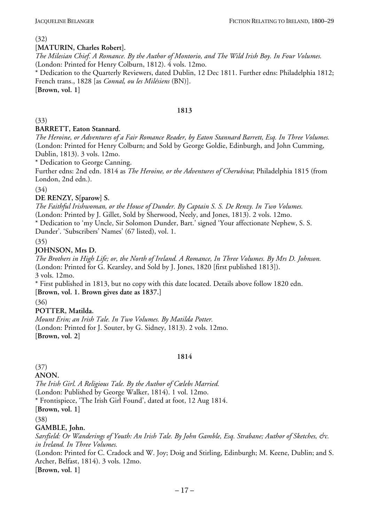#### (32)

#### **[MATURIN, Charles Robert].**

*The Milesian Chief. A Romance. By the Author of Montorio, and The Wild Irish Boy. In Four Volumes.*  (London: Printed for Henry Colburn, 1812). 4 vols. 12mo.

\* Dedication to the Quarterly Reviewers, dated Dublin, 12 Dec 1811. Further edns: Philadelphia 1812; French trans., 1828 [as *Connal, ou les Milésiens* (BN)].

**[Brown, vol. 1]**

#### **1813**

#### (33)

#### **BARRETT, Eaton Stannard.**

*The Heroine, or Adventures of a Fair Romance Reader, by Eaton Stannard Barrett, Esq. In Three Volumes.*  (London: Printed for Henry Colburn; and Sold by George Goldie, Edinburgh, and John Cumming, Dublin, 1813). 3 vols. 12mo.

\* Dedication to George Canning.

Further edns: 2nd edn. 1814 as *The Heroine, or the Adventures of Cherubina*; Philadelphia 1815 (from London, 2nd edn.).

(34)

#### **DE RENZY, S[parow] S.**

*The Faithful Irishwoman, or the House of Dunder. By Captain S. S. De Renzy. In Two Volumes.*  (London: Printed by J. Gillet, Sold by Sherwood, Neely, and Jones, 1813). 2 vols. 12mo.

\* Dedication to 'my Uncle, Sir Solomon Dunder, Bart.' signed 'Your affectionate Nephew, S. S. Dunder'. 'Subscribers' Names' (67 listed), vol. 1.

(35)

# **JOHNSON, Mrs D.**

*The Brothers in High Life; or, the North of Ireland. A Romance, In Three Volumes. By Mrs D. Johnson.*  (London: Printed for G. Kearsley, and Sold by J. Jones, 1820 [first published 1813]). 3 vols. 12mo.

\* First published in 1813, but no copy with this date located. Details above follow 1820 edn. **[Brown, vol. 1. Brown gives date as 1837.]**

(36)

# **POTTER, Matilda.**

*Mount Erin; an Irish Tale. In Two Volumes. By Matilda Potter.*  (London: Printed for J. Souter, by G. Sidney, 1813). 2 vols. 12mo. **[Brown, vol. 2]**

#### **1814**

#### (37)

**ANON.** 

*The Irish Girl. A Religious Tale. By the Author of Cœlebs Married.*  (London: Published by George Walker, 1814). 1 vol. 12mo. \* Frontispiece, 'The Irish Girl Found', dated at foot, 12 Aug 1814.

# **[Brown, vol. 1]**

(38)

#### **GAMBLE, John.**

*Sarsfield: Or Wanderings of Youth: An Irish Tale. By John Gamble, Esq. Strabane; Author of Sketches, &c. in Ireland. In Three Volumes.* 

(London: Printed for C. Cradock and W. Joy; Doig and Stirling, Edinburgh; M. Keene, Dublin; and S. Archer, Belfast, 1814). 3 vols. 12mo.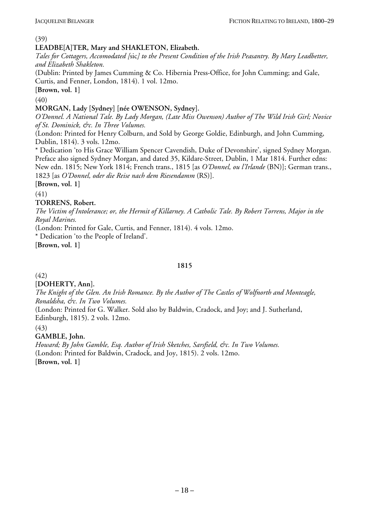#### (39)

# **LEADBE[A]TER, Mary and SHAKLETON, Elizabeth.**

*Tales for Cottagers, Accomodated [*sic*] to the Present Condition of the Irish Peasantry. By Mary Leadbetter, and Elizabeth Shakleton.* 

(Dublin: Printed by James Cumming & Co. Hibernia Press-Office, for John Cumming; and Gale, Curtis, and Fenner, London, 1814). 1 vol. 12mo.

**[Brown, vol. 1]**

(40)

# **MORGAN, Lady [Sydney] [née OWENSON, Sydney].**

*O'Donnel. A National Tale. By Lady Morgan, (Late Miss Owenson) Author of The Wild Irish Girl; Novice of St. Dominick, &c. In Three Volumes.* 

(London: Printed for Henry Colburn, and Sold by George Goldie, Edinburgh, and John Cumming, Dublin, 1814). 3 vols. 12mo.

\* Dedication 'to His Grace William Spencer Cavendish, Duke of Devonshire', signed Sydney Morgan. Preface also signed Sydney Morgan, and dated 35, Kildare-Street, Dublin, 1 Mar 1814. Further edns: New edn. 1815; New York 1814; French trans., 1815 [as *O'Donnel, ou l'Irlande* (BN)]; German trans., 1823 [as *O'Donnel, oder die Reise nach dem Riesendamm* (RS)].

**[Brown, vol. 1]**

(41)

# **TORRENS, Robert.**

*The Victim of Intolerance; or, the Hermit of Killarney. A Catholic Tale. By Robert Torrens, Major in the Royal Marines.* 

(London: Printed for Gale, Curtis, and Fenner, 1814). 4 vols. 12mo.

\* Dedication 'to the People of Ireland'.

**[Brown, vol. 1]**

#### **1815**

(42)

# **[DOHERTY, Ann].**

*The Knight of the Glen. An Irish Romance. By the Author of The Castles of Wolfnorth and Monteagle, Ronaldsha, &c. In Two Volumes.* 

(London: Printed for G. Walker. Sold also by Baldwin, Cradock, and Joy; and J. Sutherland, Edinburgh, 1815). 2 vols. 12mo.

(43)

# **GAMBLE, John.**

*Howard; By John Gamble, Esq. Author of Irish Sketches, Sarsfield, &c. In Two Volumes.*  (London: Printed for Baldwin, Cradock, and Joy, 1815). 2 vols. 12mo. **[Brown, vol. 1]**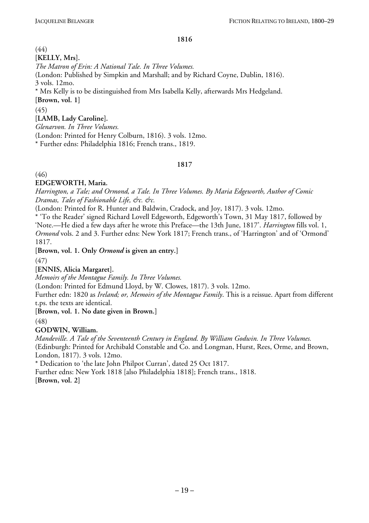#### (44)

# **[KELLY, Mrs].**

*The Matron of Erin: A National Tale. In Three Volumes.* 

(London: Published by Simpkin and Marshall; and by Richard Coyne, Dublin, 1816). 3 vols. 12mo.

\* Mrs Kelly is to be distinguished from Mrs Isabella Kelly, afterwards Mrs Hedgeland.

**[Brown, vol. 1]**

(45)

# **[LAMB, Lady Caroline].**

*Glenarvon. In Three Volumes.* 

(London: Printed for Henry Colburn, 1816). 3 vols. 12mo.

\* Further edns: Philadelphia 1816; French trans., 1819.

# **1817**

(46)

# **EDGEWORTH, Maria.**

*Harrington, a Tale; and Ormond, a Tale. In Three Volumes. By Maria Edgeworth, Author of Comic Dramas, Tales of Fashionable Life, &c. &c.* 

(London: Printed for R. Hunter and Baldwin, Cradock, and Joy, 1817). 3 vols. 12mo.

\* 'To the Reader' signed Richard Lovell Edgeworth, Edgeworth's Town, 31 May 1817, followed by

'Note.—He died a few days after he wrote this Preface—the 13th June, 1817'. *Harrington* fills vol. 1, *Ormond* vols. 2 and 3. Further edns: New York 1817; French trans., of 'Harrington' and of 'Ormond' 1817.

**[Brown, vol. 1. Only** *Ormond* **is given an entry.]**

(47)

**[ENNIS, Alicia Margaret].** 

*Memoirs of the Montague Family. In Three Volumes.* 

(London: Printed for Edmund Lloyd, by W. Clowes, 1817). 3 vols. 12mo.

Further edn: 1820 as *Ireland; or, Memoirs of the Montague Family*. This is a reissue. Apart from different t.ps. the texts are identical.

**[Brown, vol. 1. No date given in Brown.]**

(48)

# **GODWIN, William.**

*Mandeville. A Tale of the Seventeenth Century in England. By William Godwin. In Three Volumes.* 

(Edinburgh: Printed for Archibald Constable and Co. and Longman, Hurst, Rees, Orme, and Brown, London, 1817). 3 vols. 12mo.

\* Dedication to 'the late John Philpot Curran', dated 25 Oct 1817.

Further edns: New York 1818 [also Philadelphia 1818]; French trans., 1818.

**[Brown, vol. 2]**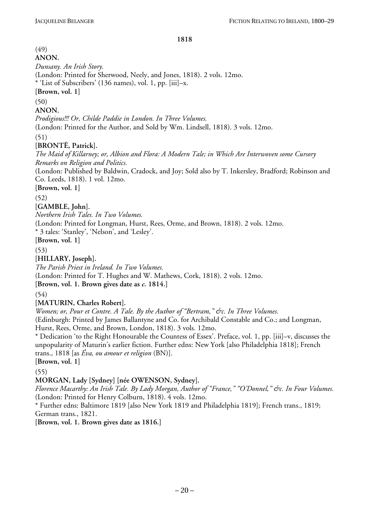# (49)

#### **ANON.**

*Dunsany. An Irish Story.* 

(London: Printed for Sherwood, Neely, and Jones, 1818). 2 vols. 12mo.

\* 'List of Subscribers' (136 names), vol. 1, pp. [iii]–x.

**[Brown, vol. 1]**

(50)

**ANON.** 

*Prodigious!!! Or, Childe Paddie in London. In Three Volumes.* 

(London: Printed for the Author, and Sold by Wm. Lindsell, 1818). 3 vols. 12mo.

(51)

# **[BRONTË, Patrick].**

*The Maid of Killarney; or, Albion and Flora: A Modern Tale; in Which Are Interwoven some Cursory Remarks on Religion and Politics.* 

(London: Published by Baldwin, Cradock, and Joy; Sold also by T. Inkersley, Bradford; Robinson and Co. Leeds, 1818). 1 vol. 12mo.

**[Brown, vol. 1]**

(52)

**[GAMBLE, John].** 

*Northern Irish Tales. In Two Volumes.* 

(London: Printed for Longman, Hurst, Rees, Orme, and Brown, 1818). 2 vols. 12mo.

\* 3 tales: 'Stanley', 'Nelson', and 'Lesley'.

**[Brown, vol. 1]**

(53)

**[HILLARY, Joseph].** 

*The Parish Priest in Ireland. In Two Volumes.* 

(London: Printed for T. Hughes and W. Mathews, Cork, 1818). 2 vols. 12mo.

**[Brown, vol. 1. Brown gives date as** *c.* **1814.]** 

(54)

# **[MATURIN, Charles Robert].**

*Women; or, Pour et Contre. A Tale. By the Author of "Bertram," &c. In Three Volumes.*  (Edinburgh: Printed by James Ballantyne and Co. for Archibald Constable and Co.; and Longman, Hurst, Rees, Orme, and Brown, London, 1818). 3 vols. 12mo.

\* Dedication 'to the Right Honourable the Countess of Essex'. Preface, vol. 1, pp. [iii]–v, discusses the unpopularity of Maturin's earlier fiction. Further edns: New York [also Philadelphia 1818]; French trans., 1818 [as *Éva, ou amour et religion* (BN)].

**[Brown, vol. 1]**

(55)

**MORGAN, Lady [Sydney] [née OWENSON, Sydney].** 

*Florence Macarthy: An Irish Tale. By Lady Morgan, Author of "France," "O'Donnel," &c. In Four Volumes.*  (London: Printed for Henry Colburn, 1818). 4 vols. 12mo.

\* Further edns: Baltimore 1819 [also New York 1819 and Philadelphia 1819]; French trans., 1819; German trans., 1821.

**[Brown, vol. 1. Brown gives date as 1816.]**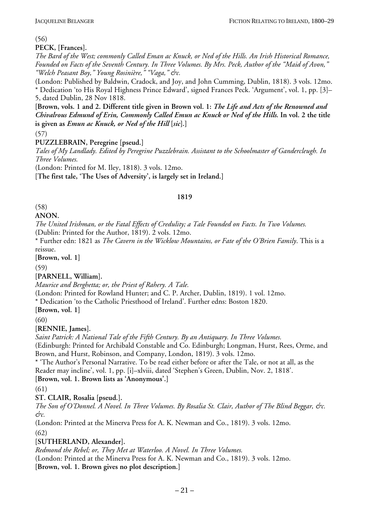(56)

**PECK, [Frances].** 

*The Bard of the West; commonly Called Eman ac Knuck, or Ned of the Hills. An Irish Historical Romance, Founded on Facts of the Seventh Century. In Three Volumes. By Mrs. Peck, Author of the "Maid of Avon," "Welch Peasant Boy," Young Rosinière," "Vaga," &c.* 

(London: Published by Baldwin, Cradock, and Joy, and John Cumming, Dublin, 1818). 3 vols. 12mo. \* Dedication 'to His Royal Highness Prince Edward', signed Frances Peck. 'Argument', vol. 1, pp. [3]– 5, dated Dublin, 28 Nov 1818.

**[Brown, vols. 1 and 2. Different title given in Brown vol. 1:** *The Life and Acts of the Renowned and Chivalrous Edmund of Erin, Commonly Called Emun ac Knuck or Ned of the Hills***. In vol. 2 the title is given as** *Emun ac Knuck, or Ned of the Hill* **[***sic***].]**

(57)

**PUZZLEBRAIN, Peregrine [pseud.]** 

*Tales of My Landlady. Edited by Peregrine Puzzlebrain. Assistant to the Schoolmaster of Gandercleugh. In Three Volumes.* 

(London: Printed for M. Iley, 1818). 3 vols. 12mo.

**[The first tale, 'The Uses of Adversity', is largely set in Ireland.]** 

# **1819**

(58)

**ANON.** 

*The United Irishman, or the Fatal Effects of Credulity; a Tale Founded on Facts. In Two Volumes.*  (Dublin: Printed for the Author, 1819). 2 vols. 12mo.

\* Further edn: 1821 as *The Cavern in the Wicklow Mountains, or Fate of the O'Brien Family*. This is a reissue.

**[Brown, vol. 1]**

(59)

**[PARNELL, William].** 

*Maurice and Berghetta; or, the Priest of Rahery. A Tale.* 

(London: Printed for Rowland Hunter; and C. P. Archer, Dublin, 1819). 1 vol. 12mo.

\* Dedication 'to the Catholic Priesthood of Ireland'. Further edns: Boston 1820.

**[Brown, vol. 1]**

(60)

**[RENNIE, James].** 

*Saint Patrick: A National Tale of the Fifth Century. By an Antiquary. In Three Volumes.* 

(Edinburgh: Printed for Archibald Constable and Co. Edinburgh; Longman, Hurst, Rees, Orme, and Brown, and Hurst, Robinson, and Company, London, 1819). 3 vols. 12mo.

\* 'The Author's Personal Narrative. To be read either before or after the Tale, or not at all, as the Reader may incline', vol. 1, pp. [i]–xlviii, dated 'Stephen's Green, Dublin, Nov. 2, 1818'.

**[Brown, vol. 1. Brown lists as 'Anonymous'.]**

(61)

**ST. CLAIR, Rosalia [pseud.].** 

*The Son of O'Donnel. A Novel. In Three Volumes. By Rosalia St. Clair, Author of The Blind Beggar, &c. &c.* 

(London: Printed at the Minerva Press for A. K. Newman and Co., 1819). 3 vols. 12mo.

(62)

**[SUTHERLAND, Alexander].** 

*Redmond the Rebel; or, They Met at Waterloo. A Novel. In Three Volumes.* 

(London: Printed at the Minerva Press for A. K. Newman and Co., 1819). 3 vols. 12mo.

**[Brown, vol. 1. Brown gives no plot description.]**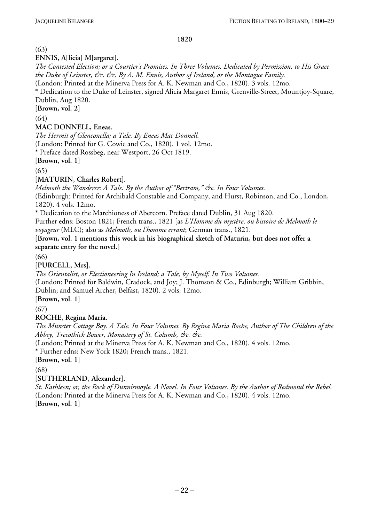# (63)

# **ENNIS, A[licia] M[argaret].**

*The Contested Election; or a Courtier's Promises. In Three Volumes. Dedicated by Permission, to His Grace the Duke of Leinster, &c. &c. By A. M. Ennis, Author of Ireland, or the Montague Family.* 

(London: Printed at the Minerva Press for A. K. Newman and Co., 1820). 3 vols. 12mo.

\* Dedication to the Duke of Leinster, signed Alicia Margaret Ennis, Grenville-Street, Mountjoy-Square, Dublin, Aug 1820.

**[Brown, vol. 2]**

(64)

# **MAC DONNELL, Eneas.**

*The Hermit of Glenconella; a Tale. By Eneas Mac Donnell.*  (London: Printed for G. Cowie and Co., 1820). 1 vol. 12mo.

\* Preface dated Rossbeg, near Westport, 26 Oct 1819.

**[Brown, vol. 1]**

 $(65)$ 

# **[MATURIN, Charles Robert].**

*Melmoth the Wanderer: A Tale. By the Author of "Bertram," &c. In Four Volumes.* 

(Edinburgh: Printed for Archibald Constable and Company, and Hurst, Robinson, and Co., London, 1820). 4 vols. 12mo.

\* Dedication to the Marchioness of Abercorn. Preface dated Dublin, 31 Aug 1820.

Further edns: Boston 1821; French trans., 1821 [as *L'Homme du mystère, ou histoire de Melmoth le voyageur* (MLC); also as *Melmoth, ou l'homme errant*; German trans., 1821.

# **[Brown, vol. 1 mentions this work in his biographical sketch of Maturin, but does not offer a separate entry for the novel.]**

(66)

**[PURCELL, Mrs].** 

*The Orientalist, or Electioneering In Ireland; a Tale, by Myself. In Two Volumes.* 

(London: Printed for Baldwin, Cradock, and Joy; J. Thomson & Co., Edinburgh; William Gribbin, Dublin; and Samuel Archer, Belfast, 1820). 2 vols. 12mo.

**[Brown, vol. 1]**

(67)

# **ROCHE, Regina Maria.**

*The Munster Cottage Boy. A Tale. In Four Volumes. By Regina Maria Roche, Author of The Children of the Abbey, Trecothick Bower, Monastery of St. Columb, &c. &c.* 

(London: Printed at the Minerva Press for A. K. Newman and Co., 1820). 4 vols. 12mo.

\* Further edns: New York 1820; French trans., 1821.

**[Brown, vol. 1]**

(68)

# **[SUTHERLAND, Alexander].**

*St. Kathleen; or, the Rock of Dunnismoyle. A Novel. In Four Volumes. By the Author of Redmond the Rebel.*  (London: Printed at the Minerva Press for A. K. Newman and Co., 1820). 4 vols. 12mo. **[Brown, vol. 1]**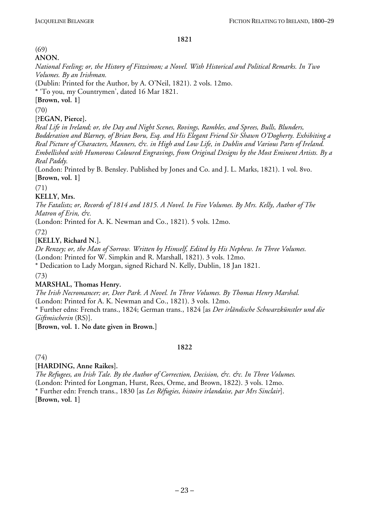# (69)

#### **ANON.**

*National Feeling; or, the History of Fitzsimon; a Novel. With Historical and Political Remarks. In Two Volumes. By an Irishman.* 

(Dublin: Printed for the Author, by A. O'Neil, 1821). 2 vols. 12mo.

\* 'To you, my Countrymen', dated 16 Mar 1821.

**[Brown, vol. 1]**

(70)

**[?EGAN, Pierce].** 

*Real Life in Ireland; or, the Day and Night Scenes, Rovings, Rambles, and Sprees, Bulls, Blunders, Bodderation and Blarney, of Brian Boru, Esq. and His Elegant Friend Sir Shawn O'Dogherty. Exhibiting a Real Picture of Characters, Manners, &c. in High and Low Life, in Dublin and Various Parts of Ireland. Embellished with Humorous Coloured Engravings, from Original Designs by the Most Eminent Artists. By a Real Paddy.* 

(London: Printed by B. Bensley. Published by Jones and Co. and J. L. Marks, 1821). 1 vol. 8vo. **[Brown, vol. 1]**

(71)

# **KELLY, Mrs.**

*The Fatalists; or, Records of 1814 and 1815. A Novel. In Five Volumes. By Mrs. Kelly, Author of The Matron of Erin, &c.* 

(London: Printed for A. K. Newman and Co., 1821). 5 vols. 12mo.

(72)

# **[KELLY, Richard N.].**

*De Renzey; or, the Man of Sorrow. Written by Himself, Edited by His Nephew. In Three Volumes.*  (London: Printed for W. Simpkin and R. Marshall, 1821). 3 vols. 12mo.

\* Dedication to Lady Morgan, signed Richard N. Kelly, Dublin, 18 Jan 1821.

(73)

# **MARSHAL, Thomas Henry.**

*The Irish Necromancer; or, Deer Park. A Novel. In Three Volumes. By Thomas Henry Marshal.*  (London: Printed for A. K. Newman and Co., 1821). 3 vols. 12mo.

\* Further edns: French trans., 1824; German trans., 1824 [as *Der irländische Schwarzkünstler und die Giftmischerin* (RS)].

**[Brown, vol. 1. No date given in Brown.]**

# **1822**

(74)

**[HARDING, Anne Raikes].** 

*The Refugees, an Irish Tale. By the Author of Correction, Decision, &c. &c. In Three Volumes.*  (London: Printed for Longman, Hurst, Rees, Orme, and Brown, 1822). 3 vols. 12mo. \* Further edn: French trans., 1830 [as *Les Réfugies, histoire irlandaise, par Mrs Sinclair*]. **[Brown, vol. 1]**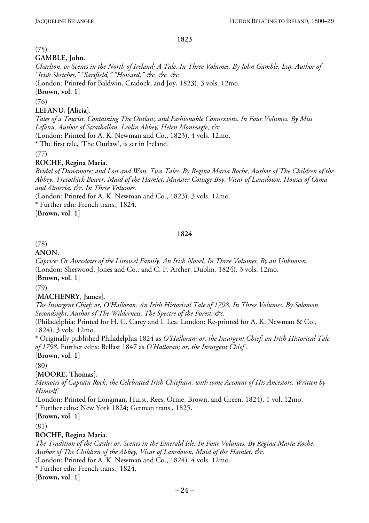# (75)

# **GAMBLE, John.**

*Charlton, or Scenes in the North of Ireland; A Tale. In Three Volumes. By John Gamble, Esq. Author of "Irish Sketches," "Sarsfield," "Howard," &c. &c. &c.* 

(London: Printed for Baldwin, Cradock, and Joy, 1823). 3 vols. 12mo.

**[Brown, vol. 1]**

(76)

**LEFANU, [Alicia].** 

*Tales of a Tourist. Containing The Outlaw, and Fashionable Connexions. In Four Volumes. By Miss Lefanu, Author of Strathallan, Leolin Abbey, Helen Monteagle, &c.* 

(London: Printed for A. K. Newman and Co., 1823). 4 vols. 12mo.

\* The first tale, 'The Outlaw', is set in Ireland.

(77)

# **ROCHE, Regina Maria.**

*Bridal of Dunamore; and Lost and Won. Two Tales. By Regina Maria Roche, Author of The Children of the Abbey, Trecothick Bower, Maid of the Hamlet, Munster Cottage Boy, Vicar of Lansdown, Houses of Osma and Almeria, &c. In Three Volumes.* 

(London: Printed for A. K. Newman and Co., 1823). 3 vols. 12mo.

\* Further edn: French trans., 1824.

**[Brown, vol. 1]**

#### **1824**

(78)

**ANON.** 

*Caprice: Or Anecdotes of the Listowel Family. An Irish Novel, In Three Volumes, By an Unknown.*  (London: Sherwood, Jones and Co., and C. P. Archer, Dublin, 1824). 3 vols. 12mo.

**[Brown, vol. 1]**

(79)

#### **[MACHENRY, James].**

*The Insurgent Chief; or, O'Halloran. An Irish Historical Tale of 1798. In Three Volumes. By Solomon Secondsight, Author of The Wilderness, The Spectre of the Forest, &c.* 

(Philadelphia: Printed for H. C. Carey and I. Lea. London: Re-printed for A. K. Newman & Co., 1824). 3 vols. 12mo.

\* Originally published Philadelphia 1824 as *O'Halloran; or, the Insurgent Chief; an Irish Historical Tale of 1798*. Further edns: Belfast 1847 as *O'Halloran; or, the Insurgent Chief* .

**[Brown, vol. 1]**

(80)

# **[MOORE, Thomas].**

*Memoirs of Captain Rock, the Celebrated Irish Chieftain, with some Account of His Ancestors. Written by Himself.* 

(London: Printed for Longman, Hurst, Rees, Orme, Brown, and Green, 1824). 1 vol. 12mo.

\* Further edns: New York 1824; German trans., 1825.

**[Brown, vol. 1]**

(81)

#### **ROCHE, Regina Maria.**

*The Tradition of the Castle; or, Scenes in the Emerald Isle. In Four Volumes. By Regina Maria Roche, Author of The Children of the Abbey, Vicar of Lansdown, Maid of the Hamlet, &c.* 

(London: Printed for A. K. Newman and Co., 1824). 4 vols. 12mo.

\* Further edn: French trans., 1824.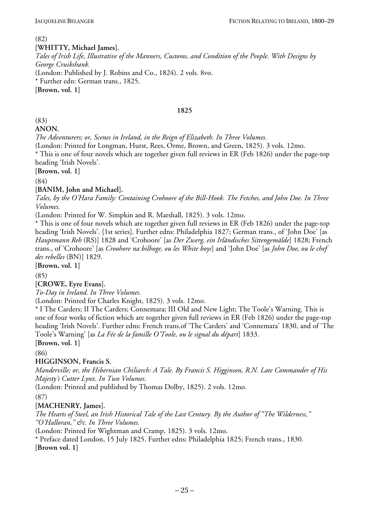#### (82)

**[WHITTY, Michael James].** 

*Tales of Irish Life, Illustrative of the Manners, Customs, and Condition of the People. With Designs by George Cruikshank.* 

(London: Published by J. Robins and Co., 1824). 2 vols. 8vo.

\* Further edn: German trans., 1825.

**[Brown, vol. 1]**

#### **1825**

# (83)

**ANON.** 

*The Adventurers; or, Scenes in Ireland, in the Reign of Elizabeth. In Three Volumes.* 

(London: Printed for Longman, Hurst, Rees, Orme, Brown, and Green, 1825). 3 vols. 12mo.

\* This is one of four novels which are together given full reviews in ER (Feb 1826) under the page-top heading 'Irish Novels'.

**[Brown, vol. 1]**

(84)

**[BANIM, John and Michael].** 

*Tales, by the O'Hara Family: Containing Crohoore of the Bill-Hook. The Fetches, and John Doe. In Three Volumes.* 

(London: Printed for W. Simpkin and R. Marshall, 1825). 3 vols. 12mo.

\* This is one of four novels which are together given full reviews in ER (Feb 1826) under the page-top heading 'Irish Novels'. [1st series]. Further edns: Philadelphia 1827; German trans., of 'John Doe' [as *Hauptmann Reh* (RS)] 1828 and 'Crohoore' [as *Der Zwerg, ein Irländisches Sittengemälde*] 1828; French trans., of 'Crohoore' [as *Croohore na bilhoge, ou les White boys*] and 'John Doe' [as *John Doe, ou le chef des rebelles* (BN)] 1829.

**[Brown, vol. 1]**

(85)

**[CROWE, Eyre Evans].** 

*To-Day in Ireland. In Three Volumes.* 

(London: Printed for Charles Knight, 1825). 3 vols. 12mo.

\* I The Carders; II The Carders; Connemara; III Old and New Light; The Toole's Warning. This is one of four works of fiction which are together given full reviews in ER (Feb 1826) under the page-top heading 'Irish Novels'. Further edns: French trans.of 'The Carders' and 'Connemara' 1830, and of 'The Toole's Warning' [as *La Fée de la famille O'Toole, ou le signal du départ*] 1833.

**[Brown, vol. 1]**

(86)

#### **HIGGINSON, Francis S.**

*Manderville; or, the Hibernian Chiliarch: A Tale. By Francis S. Higginson, R.N. Late Commander of His Majesty's Cutter Lynx. In Two Volumes.* 

(London: Printed and published by Thomas Dolby, 1825). 2 vols. 12mo.

(87)

#### **[MACHENRY, James].**

*The Hearts of Steel, an Irish Historical Tale of the Last Century. By the Author of "The Wilderness," "O'Halloran," &c. In Three Volumes.* 

(London: Printed for Wightman and Cramp, 1825). 3 vols. 12mo.

\* Preface dated London, 15 July 1825. Further edns: Philadelphia 1825; French trans., 1830. **[Brown vol. 1]**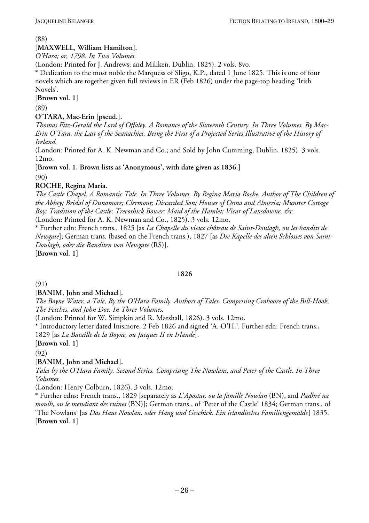#### (88)

# **[MAXWELL, William Hamilton].**

*O'Hara; or, 1798. In Two Volumes.* 

(London: Printed for J. Andrews; and Miliken, Dublin, 1825). 2 vols. 8vo.

\* Dedication to the most noble the Marquess of Sligo, K.P., dated 1 June 1825. This is one of four novels which are together given full reviews in ER (Feb 1826) under the page-top heading 'Irish Novels'.

**[Brown vol. 1]**

(89)

# **O'TARA, Mac-Erin [pseud.].**

*Thomas Fitz-Gerald the Lord of Offaley. A Romance of the Sixteenth Century. In Three Volumes. By Mac-Erin O'Tara, the Last of the Seanachies. Being the First of a Projected Series Illustrative of the History of Ireland.* 

(London: Printed for A. K. Newman and Co.; and Sold by John Cumming, Dublin, 1825). 3 vols. 12mo.

**[Brown vol. 1. Brown lists as 'Anonymous', with date given as 1836.]**

(90)

# **ROCHE, Regina Maria.**

*The Castle Chapel. A Romantic Tale. In Three Volumes. By Regina Maria Roche, Author of The Children of the Abbey; Bridal of Dunamore; Clermont; Discarded Son; Houses of Osma and Almeria; Munster Cottage Boy; Tradition of the Castle; Trecothick Bower; Maid of the Hamlet; Vicar of Lansdowne, &c.* 

(London: Printed for A. K. Newman and Co., 1825). 3 vols. 12mo.

\* Further edn: French trans., 1825 [as *La Chapelle du vieux château de Saint-Doulagh, ou les bandits de Newgate*]; German trans. (based on the French trans.), 1827 [as *Die Kapelle des alten Schlosses von Saint-Doulagh, oder die Banditen von Newgate* (RS)].

**[Brown vol. 1]**

#### **1826**

(91)

**[BANIM, John and Michael].** 

*The Boyne Water, a Tale, By the O'Hara Family. Authors of Tales, Comprising Crohoore of the Bill-Hook, The Fetches, and John Doe. In Three Volumes.* 

(London: Printed for W. Simpkin and R. Marshall, 1826). 3 vols. 12mo.

\* Introductory letter dated Inismore, 2 Feb 1826 and signed 'A. O'H.'. Further edn: French trans., 1829 [as *La Bataille de la Boyne, ou Jacques II en Irlande*].

**[Brown vol. 1]**

(92)

# **[BANIM, John and Michael].**

*Tales by the O'Hara Family. Second Series. Comprising The Nowlans, and Peter of the Castle. In Three Volumes.* 

(London: Henry Colburn, 1826). 3 vols. 12mo.

\* Further edns: French trans., 1829 [separately as *L*'*Apostat, ou la famille Nowlan* (BN), and *Padhré na moulh, ou le mendiant des ruines* (BN)]; German trans., of 'Peter of the Castle' 1834; German trans., of 'The Nowlans' [as *Das Haus Nowlan, oder Hang und Geschick. Ein irländisches Familiengemälde*] 1835. **[Brown vol. 1]**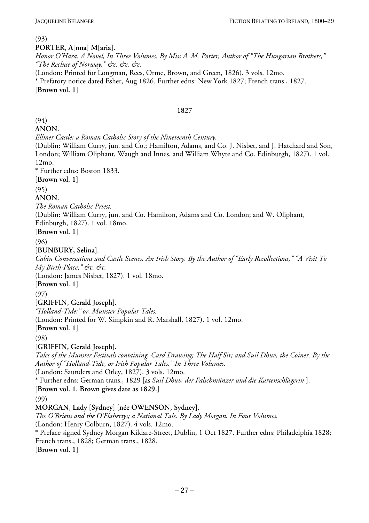(93)

#### **PORTER, A[nna] M[aria].**

*Honor O'Hara. A Novel, In Three Volumes. By Miss A. M. Porter, Author of "The Hungarian Brothers," "The Recluse of Norway," &c. &c. &c.* 

(London: Printed for Longman, Rees, Orme, Brown, and Green, 1826). 3 vols. 12mo.

\* Prefatory notice dated Esher, Aug 1826. Further edns: New York 1827; French trans., 1827. **[Brown vol. 1]**

#### **1827**

# (94)

#### **ANON.**

*Ellmer Castle; a Roman Catholic Story of the Nineteenth Century.* 

(Dublin: William Curry, jun. and Co.; Hamilton, Adams, and Co. J. Nisbet, and J. Hatchard and Son, London; William Oliphant, Waugh and Innes, and William Whyte and Co. Edinburgh, 1827). 1 vol. 12mo.

\* Further edns: Boston 1833.

**[Brown vol. 1]**

(95)

**ANON.** 

*The Roman Catholic Priest.* 

# (Dublin: William Curry, jun. and Co. Hamilton, Adams and Co. London; and W. Oliphant,

Edinburgh, 1827). 1 vol. 18mo.

**[Brown vol. 1]**

(96)

**[BUNBURY, Selina].** 

*Cabin Conversations and Castle Scenes. An Irish Story. By the Author of "Early Recollections," "A Visit To My Birth-Place," &c. &c.* 

(London: James Nisbet, 1827). 1 vol. 18mo.

**[Brown vol. 1]**

(97)

#### **[GRIFFIN, Gerald Joseph].**

*"Holland-Tide;" or, Munster Popular Tales.* 

(London: Printed for W. Simpkin and R. Marshall, 1827). 1 vol. 12mo.

**[Brown vol. 1]**

(98)

**[GRIFFIN, Gerald Joseph].** 

*Tales of the Munster Festivals containing, Card Drawing; The Half Sir; and Suil Dhuv, the Coiner. By the Author of "Holland-Tide, or Irish Popular Tales." In Three Volumes.* 

(London: Saunders and Otley, 1827). 3 vols. 12mo.

\* Further edns: German trans., 1829 [as *Suil Dhuv, der Falschmünzer und die Kartenschlägerin* ].

**[Brown vol. 1. Brown gives date as 1829.]**

(99)

**MORGAN, Lady [Sydney] [née OWENSON, Sydney].** 

*The O'Briens and the O'Flahertys; a National Tale. By Lady Morgan. In Four Volumes.* 

(London: Henry Colburn, 1827). 4 vols. 12mo.

\* Preface signed Sydney Morgan Kildare-Street, Dublin, 1 Oct 1827. Further edns: Philadelphia 1828; French trans., 1828; German trans., 1828.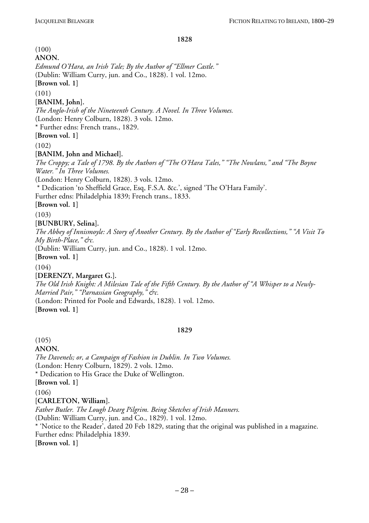(100) **ANON.**  *Edmund O'Hara, an Irish Tale; By the Author of "Ellmer Castle."*  (Dublin: William Curry, jun. and Co., 1828). 1 vol. 12mo. **[Brown vol. 1]** (101) **[BANIM, John].**  *The Anglo-Irish of the Nineteenth Century. A Novel. In Three Volumes.*  (London: Henry Colburn, 1828). 3 vols. 12mo. \* Further edns: French trans., 1829. **[Brown vol. 1]** (102) **[BANIM, John and Michael].**  *The Croppy; a Tale of 1798. By the Authors of "The O'Hara Tales," "The Nowlans," and "The Boyne Water." In Three Volumes.*  (London: Henry Colburn, 1828). 3 vols. 12mo. \* Dedication 'to Sheffield Grace, Esq, F.S.A. &c.', signed 'The O'Hara Family'. Further edns: Philadelphia 1839; French trans., 1833. **[Brown vol. 1]**  $(103)$ **[BUNBURY, Selina].**  *The Abbey of Innismoyle: A Story of Another Century. By the Author of "Early Recollections," "A Visit To My Birth-Place," &c.*  (Dublin: William Curry, jun. and Co., 1828). 1 vol. 12mo. **[Brown vol. 1]**  $(104)$ **[DERENZY, Margaret G.].**  *The Old Irish Knight: A Milesian Tale of the Fifth Century. By the Author of "A Whisper to a Newly-Married Pair," "Parnassian Geography," &c.*  (London: Printed for Poole and Edwards, 1828). 1 vol. 12mo. **[Brown vol. 1]**

#### **1829**

(105)

**ANON.** 

*The Davenels; or, a Campaign of Fashion in Dublin. In Two Volumes.*  (London: Henry Colburn, 1829). 2 vols. 12mo. \* Dedication to His Grace the Duke of Wellington. **[Brown vol. 1]** (106)

**[CARLETON, William].** 

*Father Butler. The Lough Dearg Pilgrim. Being Sketches of Irish Manners.* 

(Dublin: William Curry, jun. and Co., 1829). 1 vol. 12mo.

\* 'Notice to the Reader', dated 20 Feb 1829, stating that the original was published in a magazine. Further edns: Philadelphia 1839.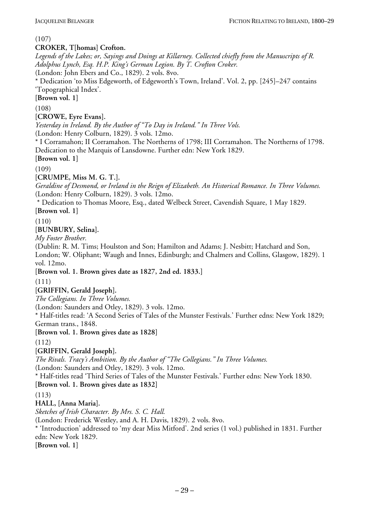(107)

#### **CROKER, T[homas] Crofton.**

*Legends of the Lakes; or, Sayings and Doings at Killarney. Collected chiefly from the Manuscripts of R. Adolphus Lynch, Esq. H.P. King's German Legion. By T. Crofton Croker.*  (London: John Ebers and Co., 1829). 2 vols. 8vo.

\* Dedication 'to Miss Edgeworth, of Edgeworth's Town, Ireland'. Vol. 2, pp. [245]–247 contains 'Topographical Index'.

**[Brown vol. 1]**

(108)

**[CROWE, Eyre Evans].** 

*Yesterday in Ireland. By the Author of "To Day in Ireland." In Three Vols.* 

(London: Henry Colburn, 1829). 3 vols. 12mo.

\* I Corramahon; II Corramahon. The Northerns of 1798; III Corramahon. The Northerns of 1798. Dedication to the Marquis of Lansdowne. Further edn: New York 1829.

**[Brown vol. 1]**

 $(109)$ 

**[CRUMPE, Miss M. G. T.].** 

*Geraldine of Desmond, or Ireland in the Reign of Elizabeth. An Historical Romance. In Three Volumes.*  (London: Henry Colburn, 1829). 3 vols. 12mo.

\* Dedication to Thomas Moore, Esq., dated Welbeck Street, Cavendish Square, 1 May 1829. **[Brown vol. 1]**

(110)

**[BUNBURY, Selina].** 

*My Foster Brother.* 

(Dublin: R. M. Tims; Houlston and Son; Hamilton and Adams; J. Nesbitt; Hatchard and Son, London; W. Oliphant; Waugh and Innes, Edinburgh; and Chalmers and Collins, Glasgow, 1829). 1 vol. 12mo.

**[Brown vol. 1. Brown gives date as 1827, 2nd ed. 1833.]**

(111)

**[GRIFFIN, Gerald Joseph].** 

*The Collegians. In Three Volumes.* 

(London: Saunders and Otley, 1829). 3 vols. 12mo.

\* Half-titles read: 'A Second Series of Tales of the Munster Festivals.' Further edns: New York 1829; German trans., 1848.

**[Brown vol. 1. Brown gives date as 1828]**

(112)

**[GRIFFIN, Gerald Joseph].** 

*The Rivals. Tracy's Ambition. By the Author of "The Collegians." In Three Volumes.* 

(London: Saunders and Otley, 1829). 3 vols. 12mo.

\* Half-titles read 'Third Series of Tales of the Munster Festivals.' Further edns: New York 1830.

**[Brown vol. 1. Brown gives date as 1832]**

(113)

**HALL, [Anna Maria].** 

*Sketches of Irish Character. By Mrs. S. C. Hall.* 

(London: Frederick Westley, and A. H. Davis, 1829). 2 vols. 8vo.

\* 'Introduction' addressed to 'my dear Miss Mitford'. 2nd series (1 vol.) published in 1831. Further edn: New York 1829.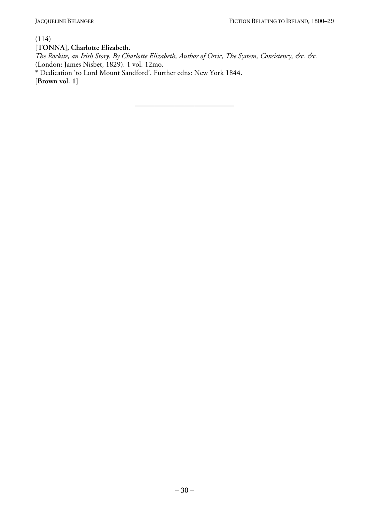(114) **[TONNA], Charlotte Elizabeth.**  *The Rockite, an Irish Story. By Charlotte Elizabeth, Author of Osric, The System, Consistency, &c. &c.*  (London: James Nisbet, 1829). 1 vol. 12mo. \* Dedication 'to Lord Mount Sandford'. Further edns: New York 1844.

**——————————**